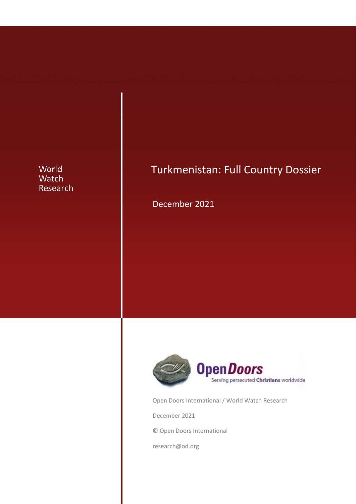## World Watch Research

# Turkmenistan: Full Country Dossier

December 2021



Open Doors International / World Watch Research

December 2021

© Open Doors International

research@od.org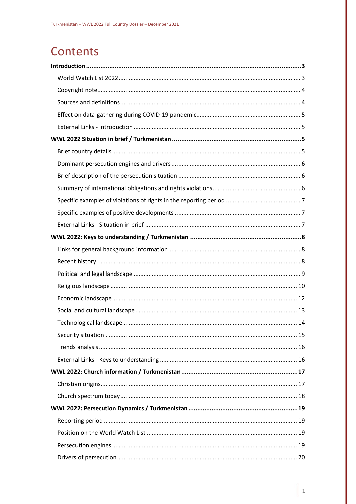# Contents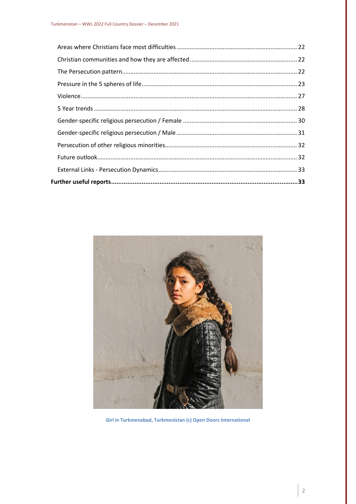

Girl in Turkmenabad, Turkmenistan (c) Open Doors International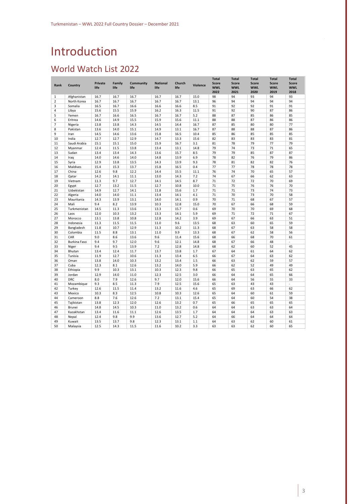# <span id="page-3-0"></span>Introduction

# <span id="page-3-1"></span>World Watch List 2022

| Rank           | Country      | <b>Private</b><br>life | Family<br>life | Community<br>life | <b>National</b><br>life | Church<br>life | <b>Violence</b> | <b>Total</b><br><b>Score</b><br><b>WWL</b> | <b>Total</b><br><b>Score</b><br><b>WWL</b> | <b>Total</b><br><b>Score</b><br><b>WWL</b> | <b>Total</b><br><b>Score</b><br><b>WWL</b> | <b>Total</b><br><b>Score</b><br><b>WWL</b> |
|----------------|--------------|------------------------|----------------|-------------------|-------------------------|----------------|-----------------|--------------------------------------------|--------------------------------------------|--------------------------------------------|--------------------------------------------|--------------------------------------------|
|                |              |                        |                |                   |                         |                |                 | 2022                                       | 2021                                       | 2020                                       | 2019                                       | 2018                                       |
| 1              | Afghanistan  | 16.7                   | 16.7           | 16.7              | 16.7                    | 16.7           | 15.0            | 98                                         | 94                                         | 93                                         | 94                                         | 93                                         |
| $\overline{2}$ | North Korea  | 16.7                   | 16.7           | 16.7              | 16.7                    | 16.7           | 13.1            | 96                                         | 94                                         | 94                                         | 94                                         | 94                                         |
| 3              | Somalia      | 16.5                   | 16.7           | 16.6              | 16.6                    | 16.6           | 8.5             | 91                                         | 92                                         | 92                                         | 91                                         | 91                                         |
| 4              | Libya        | 15.6                   | 15.5           | 15.9              | 16.2                    | 16.3           | 11.5            | 91                                         | 92                                         | 90                                         | 87                                         | 86                                         |
| 5              | Yemen        | 16.7                   | 16.6           | 16.5              | 16.7                    | 16.7           | 5.2             | 88                                         | 87                                         | 85                                         | 86                                         | 85                                         |
| 6              | Eritrea      | 14.6                   | 14.9           | 15.5              | 15.9                    | 15.6           | 11.1            | 88                                         | 88                                         | 87                                         | 86                                         | 86                                         |
| 7              | Nigeria      | 13.8                   | 13.8           | 14.3              | 14.5                    | 14.4           | 16.7            | 87                                         | 85                                         | 80                                         | 80                                         | 77                                         |
| 8              | Pakistan     | 13.6                   | 14.0           | 15.1              | 14.9                    | 13.1           | 16.7            | 87                                         | 88                                         | 88                                         | 87                                         | 86                                         |
| 9              | Iran         | 14.5                   | 14.6           | 13.6              | 15.8                    | 16.5           | 10.4            | 85                                         | 86                                         | 85                                         | 85                                         | 85                                         |
| 10             | India        | 12.7                   | 12.7           | 12.9              | 14.7                    | 13.3           | 15.6            | 82                                         | 83                                         | 83                                         | 83                                         | 81                                         |
| 11             | Saudi Arabia | 15.1                   | 15.1           | 15.0              | 15.9                    | 16.7           | 3.1             | 81                                         | 78                                         | 79                                         | 77                                         | 79                                         |
| 12             | Myanmar      | 12.4                   | 11.5           | 13.8              | 13.4                    | 13.1           | 14.8            | 79                                         | 74                                         | 73                                         | 71                                         | 65                                         |
| 13             | Sudan        | 13.4                   | 13.4           | 14.3              | 13.6                    | 15.7           | 8.5             | 79                                         | 79                                         | 85                                         | 87                                         | 87                                         |
| 14             | Iraq         | 14.0                   | 14.6           | 14.0              | 14.8                    | 13.9           | 6.9             | 78                                         | 82                                         | 76                                         | 79                                         | 86                                         |
| 15             | Syria        | 12.9                   | 13.8           | 13.5              | 14.3                    | 13.9           | 9.3             | 78                                         | 81                                         | 82                                         | 82                                         | 76                                         |
| 16             | Maldives     | 15.4                   | 15.3           | 13.7              | 15.8                    | 16.5           | 0.4             | 77                                         | 77                                         | 78                                         | 78                                         | 78                                         |
| 17             | China        | 12.6                   | 9.8            | 12.2              | 14.4                    | 15.5           | 11.1            | 76                                         | 74                                         | 70                                         | 65                                         | 57                                         |
| 18             | Qatar        | 14.2                   | 14.1           | 11.1              | 13.0                    | 14.3           | 7.2             | 74                                         | 67                                         | 66                                         | 62                                         | 63                                         |
| 19             | Vietnam      | 11.3                   | 9.7            | 12.7              | 14.1                    | 14.5           | 8.7             | 71                                         | 72                                         | 72                                         | 70                                         | 69                                         |
| 20             | Egypt        | 12.7                   | 13.2           | 11.5              | 12.7                    | 10.8           | 10.0            | 71                                         | 75                                         | 76                                         | 76                                         | 70                                         |
| 21             | Uzbekistan   | 14.9                   | 12.7           | 14.1              | 11.8                    | 15.6           | 1.7             | 71                                         | 71                                         | 73                                         | 74                                         | 73                                         |
| 22             | Algeria      | 14.0                   | 14.0           | 11.1              | 13.4                    | 14.1           | 4.1             | 71                                         | 70                                         | 73                                         | 70                                         | 58                                         |
| 23             | Mauritania   | 14.3                   | 13.9           | 13.1              | 14.0                    | 14.1           | 0.9             | 70                                         | 71                                         | 68                                         | 67                                         | 57                                         |
| 24             | Mali         | 9.4                    | 8.2            | 13.9              | 10.3                    | 12.8           | 15.0            | 70                                         | 67                                         | 66                                         | 68                                         | 59                                         |
| 25             | Turkmenistan | 14.5                   | 11.3           | 13.6              | 13.3                    | 15.7           | 0.6             | 69                                         | 70                                         | 70                                         | 69                                         | 68                                         |
| 26             | Laos         | 12.0                   | 10.3           | 13.2              | 13.3                    | 14.1           | 5.9             | 69                                         | 71                                         | 72                                         | 71                                         | 67                                         |
| 27             | Morocco      | 13.1                   | 13.8           | 10.8              | 12.8                    | 14.2           | 3.9             | 69                                         | 67                                         | 66                                         | 63                                         | 51                                         |
| 28             | Indonesia    | 11.3                   | 11.5           | 11.5              | 11.0                    | 9.6            | 13.5            | 68                                         | 63                                         | 60                                         | 65                                         | 59                                         |
| 29             | Bangladesh   | 11.8                   | 10.7           | 12.9              | 11.3                    | 10.2           | 11.3            | 68                                         | 67                                         | 63                                         | 58                                         | 58                                         |
| 30             | Colombia     | 11.5                   | 8.8            | 13.1              | 11.0                    | 9.9            | 13.3            | 68                                         | 67                                         | 62                                         | 58                                         | 56                                         |
| 31             | CAR          | 9.0                    | 8.6            | 13.6              | 9.6                     | 11.4           | 15.6            | 68                                         | 66                                         | 68                                         | 70                                         | 61                                         |
| 32             | Burkina Faso | 9.4                    | 9.7            | 12.0              | 9.6                     | 12.1           | 14.8            | 68                                         | 67                                         | 66                                         | 48                                         | ×,                                         |
| 33             | Niger        | 9.4                    | 9.5            | 13.9              | 7.2                     | 12.8           | 14.8            | 68                                         | 62                                         | 60                                         | 52                                         | 45                                         |
| 34             | Bhutan       | 13.4                   | 12.4           | 11.7              | 13.7                    | 13.8           | 1.7             | 67                                         | 64                                         | 61                                         | 64                                         | 62                                         |
| 35             | Tunisia      | 11.9                   | 12.7           | 10.6              | 11.3                    | 13.4           | 6.5             | 66                                         | 67                                         | 64                                         | 63                                         | 62                                         |
| 36             | Oman         | 13.8                   | 14.0           | 10.3              | 13.2                    | 13.4           | 1.5             | 66                                         | 63                                         | 62                                         | 59                                         | 57                                         |
| 37             | Cuba         | 12.3                   | 8.1            | 12.6              | 13.2                    | 14.0           | 5.9             | 66                                         | 62                                         | 52                                         | 49                                         | 49                                         |
| 38             | Ethiopia     | 9.9                    | 10.3           | 13.1              | 10.3                    | 12.3           | 9.8             | 66                                         | 65                                         | 63                                         | 65                                         | 62                                         |
| 39             | Jordan       | 12.9                   | 14.0           | 11.0              | 12.3                    | 12.5           | 3.0             | 66                                         | 64                                         | 64                                         | 65                                         | 66                                         |
| 40             | <b>DRC</b>   | 8.0                    | 7.9            | 12.6              | 9.7                     | 12.0           | 15.6            | 66                                         | 64                                         | 56                                         | 55                                         | 33                                         |
| 41             | Mozambique   | 9.3                    | 8.5            | 11.3              | 7.9                     | 12.5           | 15.6            | 65                                         | 63                                         | 43                                         | 43                                         | ä,                                         |
| 42             | Turkey       | 12.6                   | 11.5           | 11.4              | 13.2                    | 11.6           | 4.6             | 65                                         | 69                                         | 63                                         | 66                                         | 62                                         |
| 43             | Mexico       | 10.3                   | 8.3            | 12.5              | 10.8                    | 10.3           | 12.6            | 65                                         | 64                                         | 60                                         | 61                                         | 59                                         |
| 44             | Cameroon     | 8.8                    | 7.6            | 12.6              | 7.2                     | 13.1           | 15.4            | 65                                         | 64                                         | 60                                         | 54                                         | 38                                         |
| 45             | Tajikistan   | 13.8                   | 12.3           | 12.0              | 12.6                    | 13.2           | 0.7             | 65                                         | 66                                         | 65                                         | 65                                         | 65                                         |
| 46             | Brunei       | 14.8                   | 14.5           | 10.3              | 11.0                    | 13.2           | 0.6             | 64                                         | 64                                         | 63                                         | 63                                         | 64                                         |
| 47             | Kazakhstan   | 13.4                   | 11.6           | 11.1              | 12.6                    | 13.5           | 1.7             | 64                                         | 64                                         | 64                                         | 63                                         | 63                                         |
| 48             | Nepal        | 12.4                   | 9.8            | 9.9               | 13.6                    | 12.7           | 5.2             | 64                                         | 66                                         | 64                                         | 64                                         | 64                                         |
| 49             | Kuwait       | 13.5                   | 13.7           | 9.8               | 12.3                    | 13.1           | 1.1             | 64                                         | 63                                         | 62                                         | 60                                         | 61                                         |
| 50             | Malaysia     | 12.5                   | 14.3           | 11.5              | 11.6                    | 10.2           | 3.3             | 63                                         | 63                                         | 62                                         | 60                                         | 65                                         |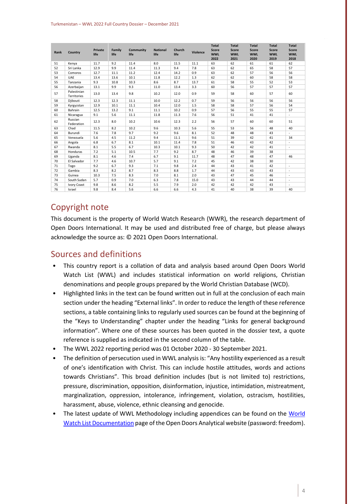| Rank | Country                    | <b>Private</b><br>life | Family<br>life | Community<br>life | <b>National</b><br>life | Church<br>life | Violence | <b>Total</b><br><b>Score</b><br><b>WWL</b> | <b>Total</b><br><b>Score</b><br><b>WWL</b> | <b>Total</b><br><b>Score</b><br><b>WWL</b> | <b>Total</b><br><b>Score</b><br><b>WWL</b> | <b>Total</b><br><b>Score</b><br><b>WWL</b> |
|------|----------------------------|------------------------|----------------|-------------------|-------------------------|----------------|----------|--------------------------------------------|--------------------------------------------|--------------------------------------------|--------------------------------------------|--------------------------------------------|
|      |                            |                        |                |                   |                         |                |          | 2022                                       | 2021                                       | 2020                                       | 2019                                       | 2018                                       |
| 51   | Kenva                      | 11.7                   | 9.2            | 11.4              | 8.0                     | 11.5           | 11.1     | 63                                         | 62                                         | 61                                         | 61                                         | 62                                         |
| 52   | Sri Lanka                  | 12.9                   | 9.9            | 11.4              | 11.3                    | 9.4            | 7.8      | 63                                         | 62                                         | 65                                         | 58                                         | 57                                         |
| 53   | Comoros                    | 12.7                   | 11.1           | 11.2              | 12.4                    | 14.2           | 0.9      | 63                                         | 62                                         | 57                                         | 56                                         | 56                                         |
| 54   | <b>UAE</b>                 | 13.4                   | 13.6           | 10.1              | 11.8                    | 12.2           | 1.3      | 62                                         | 62                                         | 60                                         | 58                                         | 58                                         |
| 55   | Tanzania                   | 9.3                    | 10.8           | 10.3              | 8.6                     | 8.7            | 13.7     | 61                                         | 58                                         | 55                                         | 52                                         | 53                                         |
| 56   | Azerbaijan                 | 13.1                   | 9.9            | 9.3               | 11.0                    | 13.4           | 3.3      | 60                                         | 56                                         | 57                                         | 57                                         | 57                                         |
| 57   | Palestinian<br>Territories | 13.0                   | 13.4           | 9.8               | 10.2                    | 12.0           | 0.9      | 59                                         | 58                                         | 60                                         | 57                                         | 60                                         |
| 58   | Diibouti                   | 12.3                   | 12.3           | 11.1              | 10.0                    | 12.2           | 0.7      | 59                                         | 56                                         | 56                                         | 56                                         | 56                                         |
| 59   | Kyrgyzstan                 | 12.9                   | 10.1           | 11.1              | 10.4                    | 12.0           | 1.5      | 58                                         | 58                                         | 57                                         | 56                                         | 54                                         |
| 60   | Bahrain                    | 12.5                   | 13.2           | 9.1               | 11.1                    | 10.2           | 0.9      | 57                                         | 56                                         | 55                                         | 55                                         | 57                                         |
| 61   | Nicaragua                  | 9.1                    | 5.6            | 11.1              | 11.8                    | 11.3           | 7.6      | 56                                         | 51                                         | 41                                         | 41                                         | $\sim$                                     |
| 62   | Russian<br>Federation      | 12.3                   | 8.0            | 10.2              | 10.6                    | 12.3           | 2.2      | 56                                         | 57                                         | 60                                         | 60                                         | 51                                         |
| 63   | Chad                       | 11.5                   | 8.2            | 10.2              | 9.6                     | 10.3           | 5.6      | 55                                         | 53                                         | 56                                         | 48                                         | 40                                         |
| 64   | Burundi                    | 7.6                    | 7.8            | 9.7               | 9.2                     | 9.6            | 8.1      | 52                                         | 48                                         | 48                                         | 43                                         | ×.                                         |
| 65   | Venezuela                  | 5.6                    | 4.5            | 11.2              | 9.4                     | 11.1           | 9.6      | 51                                         | 39                                         | 42                                         | 41                                         | 34                                         |
| 66   | Angola                     | 6.8                    | 6.7            | 8.1               | 10.1                    | 11.4           | 7.8      | 51                                         | 46                                         | 43                                         | 42                                         | $\sim$                                     |
| 67   | Rwanda                     | 8.1                    | 5.5            | 6.7               | 10.3                    | 10.1           | 9.3      | 50                                         | 42                                         | 42                                         | 41                                         | $\overline{\phantom{a}}$                   |
| 68   | Honduras                   | 7.2                    | 5.1            | 10.5              | 7.7                     | 9.2            | 8.7      | 48                                         | 46                                         | 39                                         | 38                                         |                                            |
| 69   | Uganda                     | 8.1                    | 4.6            | 7.4               | 6.7                     | 9.1            | 11.7     | 48                                         | 47                                         | 48                                         | 47                                         | 46                                         |
| 70   | El Salvador                | 7.7                    | 4.6            | 10.7              | 5.7                     | 9.1            | 7.2      | 45                                         | 42                                         | 38                                         | 30                                         |                                            |
| 71   | Togo                       | 9.2                    | 6.7            | 9.3               | 7.1                     | 9.8            | 2.4      | 44                                         | 43                                         | 41                                         | 42                                         | $\overline{\phantom{a}}$                   |
| 72   | Gambia                     | 8.3                    | 8.2            | 8.7               | 8.3                     | 8.8            | 1.7      | 44                                         | 43                                         | 43                                         | 43                                         | ٠                                          |
| 73   | Guinea                     | 10.3                   | 7.5            | 8.3               | 7.0                     | 8.1            | 2.0      | 43                                         | 47                                         | 45                                         | 46                                         | $\overline{\phantom{a}}$                   |
| 74   | South Sudan                | 5.7                    | 0.9            | 7.0               | 6.3                     | 7.8            | 15.0     | 43                                         | 43                                         | 44                                         | 44                                         | ٠.                                         |
| 75   | Ivory Coast                | 9.8                    | 8.6            | 8.2               | 5.5                     | 7.9            | 2.0      | 42                                         | 42                                         | 42                                         | 43                                         |                                            |
| 76   | Israel                     | 9.8                    | 8.4            | 5.6               | 6.6                     | 6.6            | 4.3      | 41                                         | 40                                         | 38                                         | 39                                         | 40                                         |

## <span id="page-4-0"></span>Copyright note

This document is the property of World Watch Research (WWR), the research department of Open Doors International. It may be used and distributed free of charge, but please always acknowledge the source as: © 2021 Open Doors International.

#### <span id="page-4-1"></span>Sources and definitions

- This country report is a collation of data and analysis based around Open Doors World Watch List (WWL) and includes statistical information on world religions, Christian denominations and people groups prepared by the World Christian Database (WCD).
- Highlighted links in the text can be found written out in full at the conclusion of each main section under the heading "External links". In order to reduce the length of these reference sections, a table containing links to regularly used sources can be found at the beginning of the "Keys to Understanding" chapter under the heading "Links for general background information". Where one of these sources has been quoted in the dossier text, a quote reference is supplied as indicated in the second column of the table.
- The WWL 2022 reporting period was 01 October 2020 30 September 2021.
- The definition of persecution used in WWL analysis is: "Any hostility experienced as a result of one's identification with Christ. This can include hostile attitudes, words and actions towards Christians". This broad definition includes (but is not limited to) restrictions, pressure, discrimination, opposition, disinformation, injustice, intimidation, mistreatment, marginalization, oppression, intolerance, infringement, violation, ostracism, hostilities, harassment, abuse, violence, ethnic cleansing and genocide.
- The latest update of WWL Methodology including appendices can be found on the World [Watch List Documentation](https://opendoorsanalytical.org/world-watch-list-documentation/) page of the Open Doors Analytical website (password: freedom).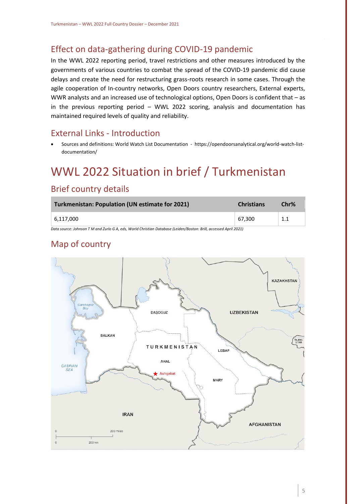# <span id="page-5-0"></span>Effect on data-gathering during COVID-19 pandemic

In the WWL 2022 reporting period, travel restrictions and other measures introduced by the governments of various countries to combat the spread of the COVID-19 pandemic did cause delays and create the need for restructuring grass-roots research in some cases. Through the agile cooperation of In-country networks, Open Doors country researchers, External experts, WWR analysts and an increased use of technological options, Open Doors is confident that – as in the previous reporting period – WWL 2022 scoring, analysis and documentation has maintained required levels of quality and reliability.

## <span id="page-5-1"></span>External Links - Introduction

• Sources and definitions: World Watch List Documentation - https://opendoorsanalytical.org/world-watch-listdocumentation/

# <span id="page-5-2"></span>WWL 2022 Situation in brief / Turkmenistan

## <span id="page-5-3"></span>Brief country details

| Turkmenistan: Population (UN estimate for 2021)                                                                   | <b>Christians</b> | Chr% |  |  |
|-------------------------------------------------------------------------------------------------------------------|-------------------|------|--|--|
| $\pm 6.117,000$                                                                                                   | 67,300            |      |  |  |
| Data source: Johnson T.M.and Zurlo G.A. eds. World Christian Database (Leiden/Boston: Brill, accessed Anril 2021) |                   |      |  |  |

*Data source: Johnson T M and Zurlo G A, eds, World Christian Database (Leiden/Boston: Brill, accessed April 2021)*

# Map of country

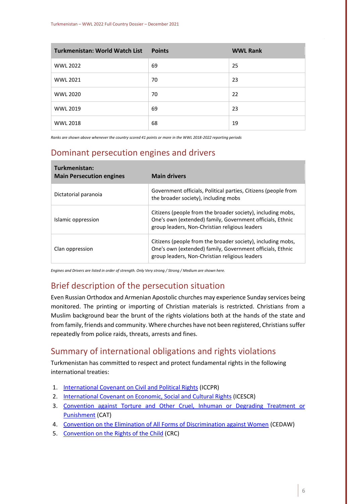| <b>Turkmenistan: World Watch List</b> | <b>Points</b> | <b>WWL Rank</b> |
|---------------------------------------|---------------|-----------------|
| <b>WWL 2022</b>                       | 69            | 25              |
| <b>WWL 2021</b>                       | 70            | 23              |
| <b>WWL 2020</b>                       | 70            | 22              |
| <b>WWL 2019</b>                       | 69            | 23              |
| <b>WWL 2018</b>                       | 68            | 19              |

*Ranks are shown above whenever the country scored 41 points or more in the WWL 2018-2022 reporting periods*

## <span id="page-6-0"></span>Dominant persecution engines and drivers

| Turkmenistan:<br><b>Main Persecution engines</b> | <b>Main drivers</b>                                                                                                                                                        |
|--------------------------------------------------|----------------------------------------------------------------------------------------------------------------------------------------------------------------------------|
| Dictatorial paranoia                             | Government officials, Political parties, Citizens (people from<br>the broader society), including mobs                                                                     |
| Islamic oppression                               | Citizens (people from the broader society), including mobs,<br>One's own (extended) family, Government officials, Ethnic<br>group leaders, Non-Christian religious leaders |
| Clan oppression                                  | Citizens (people from the broader society), including mobs,<br>One's own (extended) family, Government officials, Ethnic<br>group leaders, Non-Christian religious leaders |

*Engines and Drivers are listed in order of strength. Only Very strong / Strong / Medium are shown here.*

## <span id="page-6-1"></span>Brief description of the persecution situation

Even Russian Orthodox and Armenian Apostolic churches may experience Sunday services being monitored. The printing or importing of Christian materials is restricted. Christians from a Muslim background bear the brunt of the rights violations both at the hands of the state and from family, friends and community. Where churches have not been registered, Christians suffer repeatedly from police raids, threats, arrests and fines.

#### <span id="page-6-2"></span>Summary of international obligations and rights violations

Turkmenistan has committed to respect and protect fundamental rights in the following international treaties:

- 1. [International Covenant on Civil and Political Rights](https://www.ohchr.org/en/professionalinterest/pages/ccpr.aspx) (ICCPR)
- 2. [International Covenant on Economic, Social and Cultural Rights](https://www.ohchr.org/en/professionalinterest/pages/cescr.aspx) (ICESCR)
- 3. [Convention against Torture and Other Cruel, Inhuman or Degrading Treatment or](https://www.ohchr.org/en/professionalinterest/pages/cat.aspx)  [Punishment](https://www.ohchr.org/en/professionalinterest/pages/cat.aspx) (CAT)
- 4. [Convention on the Elimination of All Forms of Discrimination against Women](https://www.ohchr.org/EN/ProfessionalInterest/Pages/CEDAW.aspx) (CEDAW)
- 5. [Convention on the Rights of the Child](https://www.ohchr.org/en/professionalinterest/pages/crc.aspx) (CRC)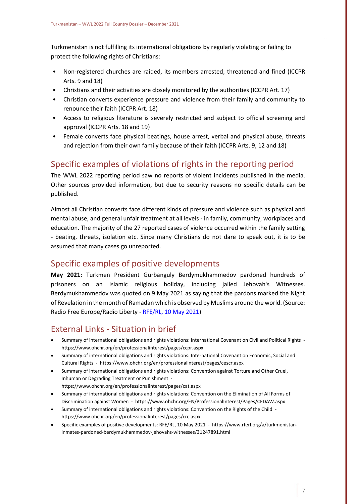Turkmenistan is not fulfilling its international obligations by regularly violating or failing to protect the following rights of Christians:

- Non-registered churches are raided, its members arrested, threatened and fined (ICCPR Arts. 9 and 18)
- Christians and their activities are closely monitored by the authorities (ICCPR Art. 17)
- Christian converts experience pressure and violence from their family and community to renounce their faith (ICCPR Art. 18)
- Access to religious literature is severely restricted and subject to official screening and approval (ICCPR Arts. 18 and 19)
- Female converts face physical beatings, house arrest, verbal and physical abuse, threats and rejection from their own family because of their faith (ICCPR Arts. 9, 12 and 18)

## <span id="page-7-0"></span>Specific examples of violations of rights in the reporting period

The WWL 2022 reporting period saw no reports of violent incidents published in the media. Other sources provided information, but due to security reasons no specific details can be published.

Almost all Christian converts face different kinds of pressure and violence such as physical and mental abuse, and general unfair treatment at all levels - in family, community, workplaces and education. The majority of the 27 reported cases of violence occurred within the family setting - beating, threats, isolation etc. Since many Christians do not dare to speak out, it is to be assumed that many cases go unreported.

## <span id="page-7-1"></span>Specific examples of positive developments

**May 2021:** Turkmen President Gurbanguly Berdymukhammedov pardoned hundreds of prisoners on an Islamic religious holiday, including jailed Jehovah's Witnesses. Berdymukhammedov was quoted on 9 May 2021 as saying that the pardons marked the Night of Revelation in the month of Ramadan which is observed by Muslims around the world. (Source: Radio Free Europe/Radio Liberty - [RFE/RL, 10 May 2021\)](https://www.rferl.org/a/turkmenistan-inmates-pardoned-berdymukhammedov-jehovahs-witnesses/31247891.html)

# <span id="page-7-2"></span>External Links - Situation in brief

- Summary of international obligations and rights violations: International Covenant on Civil and Political Rights https://www.ohchr.org/en/professionalinterest/pages/ccpr.aspx
- Summary of international obligations and rights violations: International Covenant on Economic, Social and Cultural Rights - https://www.ohchr.org/en/professionalinterest/pages/cescr.aspx
- Summary of international obligations and rights violations: Convention against Torture and Other Cruel, Inhuman or Degrading Treatment or Punishment https://www.ohchr.org/en/professionalinterest/pages/cat.aspx
- Summary of international obligations and rights violations: Convention on the Elimination of All Forms of Discrimination against Women - https://www.ohchr.org/EN/ProfessionalInterest/Pages/CEDAW.aspx
- Summary of international obligations and rights violations: Convention on the Rights of the Child https://www.ohchr.org/en/professionalinterest/pages/crc.aspx
- Specific examples of positive developments: RFE/RL, 10 May 2021 https://www.rferl.org/a/turkmenistaninmates-pardoned-berdymukhammedov-jehovahs-witnesses/31247891.html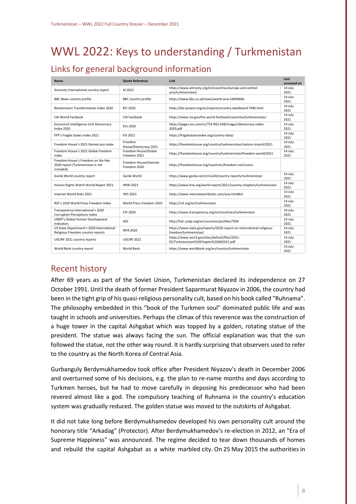# <span id="page-8-0"></span>WWL 2022: Keys to understanding / Turkmenistan

# <span id="page-8-1"></span>Links for general background information

| <b>Name</b>                                                                         | <b>Quote Reference</b>                 | Link                                                                                           | Last<br>accessed on |
|-------------------------------------------------------------------------------------|----------------------------------------|------------------------------------------------------------------------------------------------|---------------------|
| Amnesty International country report                                                | AI 2021                                | https://www.amnesty.org/en/countries/europe-and-central-<br>asia/turkmenistan/                 | 14 July<br>2021     |
| <b>BBC News country profile</b>                                                     | <b>BBC</b> country profile             | https://www.bbc.co.uk/news/world-asia-16094646                                                 | 14 July<br>2021     |
| Bertelsmann Transformation Index 2020                                               | <b>BTI 2020</b>                        | https://bti-project.org/en/reports/country-dashboard-TKM.html                                  | 14 July<br>2021     |
| CIA World Factbook                                                                  | CIA Factbook                           | https://www.cia.gov/the-world-factbook/countries/turkmenistan/                                 | 14 July<br>2021     |
| Economist Intelligence Unit Democracy<br>Index 2020                                 | <b>EIU 2020</b>                        | https://pages.eiu.com/rs/753-RIQ-438/images/democracy-index-<br>2020.pdf                       | 14 July<br>2021     |
| FFP's Fragile States Index 2021                                                     | FSI 2021                               | https://fragilestatesindex.org/country-data/                                                   | 14 July<br>2021     |
| Freedom House's 2021 Democracy index                                                | Freedom<br>House/Democracy 2021        | https://freedomhouse.org/country/turkmenistan/nations-transit/2021                             | 14 July<br>2021     |
| Freedom House's 2021 Global Freedom<br>index                                        | Freedom House/Global<br>Freedom 2021   | https://freedomhouse.org/country/turkmenistan/freedom-world/2021                               | 14 July<br>2021     |
| Freedom House's Freedom on the Net<br>2020 report (Turkmenistan is not<br>included) | Freedom House/Internet<br>Freedom 2020 | https://freedomhouse.org/countries/freedom-net/scores                                          |                     |
| Garda World country report                                                          | Garda World                            | https://www.garda.com/crisis24/country-reports/turkmenistan                                    | 14 July<br>2021     |
| Human Rights Watch World Report 2021                                                | <b>HRW 2021</b>                        | https://www.hrw.org/world-report/2021/country-chapters/turkmenistan                            | 14 July<br>2021     |
| Internet World Stats 2021                                                           | <b>IWS 2021</b>                        | https://www.internetworldstats.com/asia.htm#tm                                                 | 14 July<br>2021     |
| RSF's 2020 World Press Freedom Index                                                | World Press Freedom 2020               | https://rsf.org/en/turkmenistan                                                                | 14 July<br>2021     |
| Transparency International's 2020<br><b>Corruption Perceptions Index</b>            | CPI 2020                               | https://www.transparency.org/en/countries/turkmenistan                                         | 14 July<br>2021     |
| UNDP's Global Human Development<br><b>Indicators</b>                                | HDI                                    | http://hdr.undp.org/en/countries/profiles/TKM                                                  | 14 July<br>2021     |
| US State Department's 2020 International<br>Religious Freedom country reports       | <b>IRFR 2020</b>                       | https://www.state.gov/reports/2020-report-on-international-religious-<br>freedom/turkmenistan/ | 14 July<br>2021     |
| USCIRF 2021 country reports                                                         | <b>USCIRF 2021</b>                     | https://www.uscirf.gov/sites/default/files/2021-<br>05/Turkmenistan%20Chapter%20AR2021.pdf     | 14 July<br>2021     |
| World Bank country report                                                           | World Bank                             | https://www.worldbank.org/en/country/turkmenistan                                              | 14 July<br>2021     |

## <span id="page-8-2"></span>Recent history

After 69 years as part of the Soviet Union, Turkmenistan declared its independence on 27 October 1991. Until the death of former President Saparmurat Niyazov in 2006, the country had been in the tight grip of his quasi-religious personality cult, based on his book called "Ruhnama". The philosophy embedded in this "book of the Turkmen soul" dominated public life and was taught in schools and universities. Perhaps the climax of this reverence was the construction of a huge tower in the capital Ashgabat which was topped by a golden, rotating statue of the president. The statue was always facing the sun. The official explanation was that the sun followed the statue, not the other way round. It is hardly surprising that observers used to refer to the country as the North Korea of Central Asia.

Gurbanguly Berdymukhamedov took office after President Niyazov's death in December 2006 and overturned some of his decisions, e.g. the plan to re-name months and days according to Turkmen heroes, but he had to move carefully in deposing his predecessor who had been revered almost like a god. The compulsory teaching of Ruhnama in the country's education system was gradually reduced. The golden statue was moved to the outskirts of Ashgabat.

It did not take long before Berdymukhamedov developed his own personality cult around the honorary title "Arkadag" (Protector). After Berdymukhamedov's re-election in 2012, an "Era of Supreme Happiness" was announced. The regime decided to tear down thousands of homes and rebuild the capital Ashgabat as a white marbled city. On 25 May 2015 the authorities in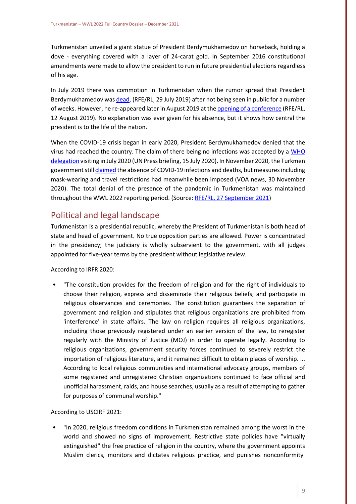Turkmenistan unveiled a giant statue of President Berdymukhamedov on horseback, holding a dove - everything covered with a layer of 24-carat gold. In September 2016 constitutional amendments were made to allow the president to run in future presidential elections regardless of his age.

In July 2019 there was commotion in Turkmenistan when the rumor spread that President Berdymukhamedov wa[s dead,](https://www.rferl.org/a/turkmen-celebs-try-to-debunk-rumors-of-president-s-death/30082030.html) (RFE/RL, 29 July 2019) after not being seen in public for a number of weeks. However, he re-appeared later in August 2019 at th[e opening of a conference](https://www.rferl.org/a/gurbanguly-berdymukhammedov-turkmenistan-/30105422.html) (RFE/RL, 12 August 2019). No explanation was ever given for his absence, but it shows how central the president is to the life of the nation.

When the COVID-19 crisis began in early 2020, President Berdymukhamedov denied that the virus had reached the country. The claim of there being no infections was accepted by a [WHO](https://turkmenistan.un.org/en/53288-press-briefing-whoeurope-experts-preliminary-outcomes-their-covid-19-mission-turkmenistan)  [delegation](https://turkmenistan.un.org/en/53288-press-briefing-whoeurope-experts-preliminary-outcomes-their-covid-19-mission-turkmenistan) visiting in July 2020 (UN Press briefing, 15 July 2020). In November 2020, the Turkmen government still *claimed* the absence of COVID-19 infections and deaths, but measures including mask-wearing and travel restrictions had meanwhile been imposed (VOA news, 30 November 2020). The total denial of the presence of the pandemic in Turkmenistan was maintained throughout the WWL 2022 reporting period. (Source[: RFE/RL, 27 September 2021\)](https://www.rferl.org/a/majlis-podcast-turkmenistan-covid/31478782.html)

## <span id="page-9-0"></span>Political and legal landscape

Turkmenistan is a presidential republic, whereby the President of Turkmenistan is both head of state and head of government. No true opposition parties are allowed. Power is concentrated in the presidency; the judiciary is wholly subservient to the government, with all judges appointed for five-year terms by the president without legislative review.

According to IRFR 2020:

• "The constitution provides for the freedom of religion and for the right of individuals to choose their religion, express and disseminate their religious beliefs, and participate in religious observances and ceremonies. The constitution guarantees the separation of government and religion and stipulates that religious organizations are prohibited from 'interference' in state affairs. The law on religion requires all religious organizations, including those previously registered under an earlier version of the law, to reregister regularly with the Ministry of Justice (MOJ) in order to operate legally. According to religious organizations, government security forces continued to severely restrict the importation of religious literature, and it remained difficult to obtain places of worship. ... According to local religious communities and international advocacy groups, members of some registered and unregistered Christian organizations continued to face official and unofficial harassment, raids, and house searches, usually as a result of attempting to gather for purposes of communal worship."

According to USCIRF 2021:

• "In 2020, religious freedom conditions in Turkmenistan remained among the worst in the world and showed no signs of improvement. Restrictive state policies have "virtually extinguished" the free practice of religion in the country, where the government appoints Muslim clerics, monitors and dictates religious practice, and punishes nonconformity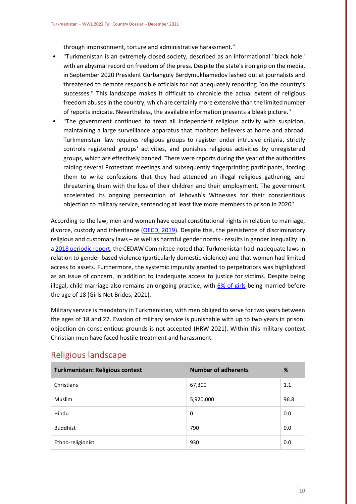through imprisonment, torture and administrative harassment."

- "Turkmenistan is an extremely closed society, described as an informational "black hole" with an abysmal record on freedom of the press. Despite the state's iron grip on the media, in September 2020 President Gurbanguly Berdymukhamedov lashed out at journalists and threatened to demote responsible officials for not adequately reporting "on the country's successes." This landscape makes it difficult to chronicle the actual extent of religious freedom abuses in the country, which are certainly more extensive than the limited number of reports indicate. Nevertheless, the available information presents a bleak picture."
- "The government continued to treat all independent religious activity with suspicion, maintaining a large surveillance apparatus that monitors believers at home and abroad. Turkmenistani law requires religious groups to register under intrusive criteria, strictly controls registered groups' activities, and punishes religious activities by unregistered groups, which are effectively banned. There were reports during the year of the authorities raiding several Protestant meetings and subsequently fingerprinting participants, forcing them to write confessions that they had attended an illegal religious gathering, and threatening them with the loss of their children and their employment. The government accelerated its ongoing persecution of Jehovah's Witnesses for their conscientious objection to military service, sentencing at least five more members to prison in 2020".

According to the law, men and women have equal constitutional rights in relation to marriage, divorce, custody and inheritance [\(OECD, 2019\)](https://www.genderindex.org/wp-content/uploads/files/datasheets/2019/TM.pdf). Despite this, the persistence of discriminatory religious and customary laws – as well as harmful gender norms - results in gender inequality. In [a 2018 periodic report,](https://tbinternet.ohchr.org/_layouts/15/treatybodyexternal/Download.aspx?symbolno=CEDAW/C/TKM/CO/5&Lang=En) the CEDAW Committee noted that Turkmenistan had inadequate laws in relation to gender-based violence (particularly domestic violence) and that women had limited access to assets. Furthermore, the systemic impunity granted to perpetrators was highlighted as an issue of concern, in addition to inadequate access to justice for victims. Despite being illegal, child marriage also remains an ongoing practice, with  $6\%$  of girls being married before the age of 18 (Girls Not Brides, 2021).

Military service is mandatory in Turkmenistan, with men obliged to serve for two years between the ages of 18 and 27. Evasion of military service is punishable with up to two years in prison; objection on conscientious grounds is not accepted (HRW 2021). Within this military context Christian men have faced hostile treatment and harassment.

| <b>Turkmenistan: Religious context</b> | <b>Number of adherents</b> | %    |
|----------------------------------------|----------------------------|------|
| Christians                             | 67,300                     | 1.1  |
| <b>Muslim</b>                          | 5,920,000                  | 96.8 |
| Hindu                                  | 0                          | 0.0  |
| <b>Buddhist</b>                        | 790                        | 0.0  |
| Ethno-religionist                      | 930                        | 0.0  |

## <span id="page-10-0"></span>Religious landscape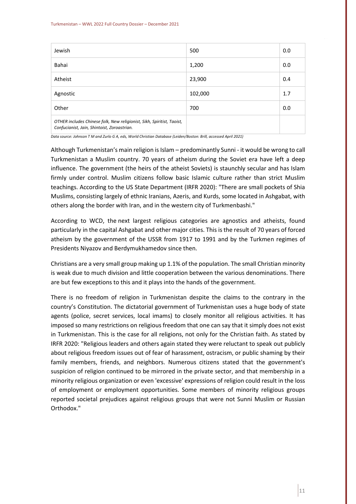| Jewish                                                                                                                | 500     | 0.0 |
|-----------------------------------------------------------------------------------------------------------------------|---------|-----|
| Bahai                                                                                                                 | 1,200   | 0.0 |
| Atheist                                                                                                               | 23,900  | 0.4 |
| Agnostic                                                                                                              | 102,000 | 1.7 |
| Other                                                                                                                 | 700     | 0.0 |
| OTHER includes Chinese folk, New religionist, Sikh, Spiritist, Taoist,<br>Confucianist, Jain, Shintoist, Zoroastrian. |         |     |

*Data source: Johnson T M and Zurlo G A, eds, World Christian Database (Leiden/Boston: Brill, accessed April 2021)*

Although Turkmenistan's main religion is Islam – predominantly Sunni - it would be wrong to call Turkmenistan a Muslim country. 70 years of atheism during the Soviet era have left a deep influence. The government (the heirs of the atheist Soviets) is staunchly secular and has Islam firmly under control. Muslim citizens follow basic Islamic culture rather than strict Muslim teachings. According to the US State Department (IRFR 2020): "There are small pockets of Shia Muslims, consisting largely of ethnic Iranians, Azeris, and Kurds, some located in Ashgabat, with others along the border with Iran, and in the western city of Turkmenbashi."

According to WCD, the next largest religious categories are agnostics and atheists, found particularly in the capital Ashgabat and other major cities. This is the result of 70 years of forced atheism by the government of the USSR from 1917 to 1991 and by the Turkmen regimes of Presidents Niyazov and Berdymukhamedov since then.

Christians are a very small group making up 1.1% of the population. The small Christian minority is weak due to much division and little cooperation between the various denominations. There are but few exceptions to this and it plays into the hands of the government.

There is no freedom of religion in Turkmenistan despite the claims to the contrary in the country's Constitution. The dictatorial government of Turkmenistan uses a huge body of state agents (police, secret services, local imams) to closely monitor all religious activities. It has imposed so many restrictions on religious freedom that one can say that it simply does not exist in Turkmenistan. This is the case for all religions, not only for the Christian faith. As stated by IRFR 2020: "Religious leaders and others again stated they were reluctant to speak out publicly about religious freedom issues out of fear of harassment, ostracism, or public shaming by their family members, friends, and neighbors. Numerous citizens stated that the government's suspicion of religion continued to be mirrored in the private sector, and that membership in a minority religious organization or even 'excessive' expressions of religion could result in the loss of employment or employment opportunities. Some members of minority religious groups reported societal prejudices against religious groups that were not Sunni Muslim or Russian Orthodox."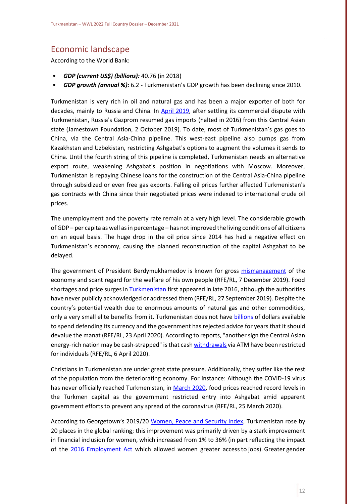# <span id="page-12-0"></span>Economic landscape

According to the World Bank:

- *GDP (current US\$) (billions):* 40.76 (in 2018)
- *GDP growth (annual %):* 6.2 Turkmenistan's GDP growth has been declining since 2010.

Turkmenistan is very rich in oil and natural gas and has been a major exporter of both for decades, mainly to Russia and China. In [April 2019,](https://jamestown.org/program/turkmenistans-gas-exports-hampered-by-geopolitical-realities/) after settling its commercial dispute with Turkmenistan, Russia's Gazprom resumed gas imports (halted in 2016) from this Central Asian state (Jamestown Foundation, 2 October 2019). To date, most of Turkmenistan's gas goes to China, via the Central Asia-China pipeline. This west-east pipeline also pumps gas from Kazakhstan and Uzbekistan, restricting Ashgabat's options to augment the volumes it sends to China. Until the fourth string of this pipeline is completed, Turkmenistan needs an alternative export route, weakening Ashgabat's position in negotiations with Moscow. Moreover, Turkmenistan is repaying Chinese loans for the construction of the Central Asia-China pipeline through subsidized or even free gas exports. Falling oil prices further affected Turkmenistan's gas contracts with China since their negotiated prices were indexed to international crude oil prices.

The unemployment and the poverty rate remain at a very high level. The considerable growth of GDP – per capita as well as in percentage – has not improved the living conditions of all citizens on an equal basis. The huge drop in the oil price since 2014 has had a negative effect on Turkmenistan's economy, causing the planned reconstruction of the capital Ashgabat to be delayed.

The government of President Berdymukhamedov is known for gross [mismanagement](https://www.rferl.org/a/qishloq-ovozi-turkmenistan-health-risk-berdymukhammedov-animal-diseases-herbal-remedies/30313192.html) of the economy and scant regard for the welfare of his own people (RFE/RL, 7 December 2019). Food shortages and price surges i[n Turkmenistan](https://www.rferl.org/a/food-shortages-ashgabat-turkmenistan/30187280.html) first appeared in late 2016, although the authorities have never publicly acknowledged or addressed them (RFE/RL, 27 September 2019). Despite the country's potential wealth due to enormous amounts of natural gas and other commodities, only a very small elite benefits from it. Turkmenistan does not have [billions](https://www.rferl.org/a/qishloq-ovozi-plunging-oil-prices-kazakhstan-turkmenistan-economic-problems/30572905.html) of dollars available to spend defending its currency and the government has rejected advice for years that it should devalue the manat (RFE/RL, 23 April 2020). According to reports, "another sign the Central Asian energy-rich nation may be cash-strapped" is that cas[h withdrawals](https://www.rferl.org/a/turkmen-district-further-restricts-daily-atm-cash-withdrawals-card-payments/30535309.html) via ATM have been restricted for individuals (RFE/RL, 6 April 2020).

Christians in Turkmenistan are under great state pressure. Additionally, they suffer like the rest of the population from the deteriorating economy. For instance: Although the COVID-19 virus has never officially reached Turkmenistan, in [March 2020,](https://www.rferl.org/a/turkmenistan-coronavirus-food-prices-skyrocket--special-measures/30508897.html?ltflags=mailer) food prices reached record levels in the Turkmen capital as the government restricted entry into Ashgabat amid apparent government efforts to prevent any spread of the coronavirus (RFE/RL, 25 March 2020).

According to Georgetown's 2019/20 [Women, Peace and Security Index,](https://giwps.georgetown.edu/wp-content/uploads/2019/12/WPS-Index-2019-20-Report.pdf) Turkmenistan rose by 20 places in the global ranking; this improvement was primarily driven by a stark improvement in financial inclusion for women, which increased from 1% to 36% (in part reflecting the impact of the [2016 Employment Act](https://www.ilo.org/dyn/natlex/natlex4.detail?p_lang=en&p_isn=105760&p_country=TKM) which allowed women greater access to jobs). Greater gender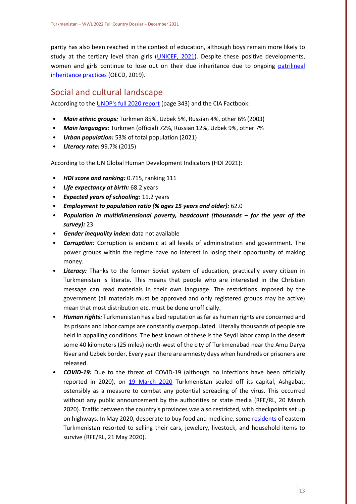parity has also been reached in the context of education, although boys remain more likely to study at the tertiary level than girls [\(UNICEF, 2021\)](https://www.unicef.org/turkmenistan/gender). Despite these positive developments, women and girls continue to lose out on their due inheritance due to ongoing [patrilineal](https://www.genderindex.org/wp-content/uploads/files/datasheets/2019/TM.pdf)  [inheritance practices](https://www.genderindex.org/wp-content/uploads/files/datasheets/2019/TM.pdf) (OECD, 2019).

## <span id="page-13-0"></span>Social and cultural landscape

According to th[e UNDP's full 2020 report](http://hdr.undp.org/sites/default/files/hdr2020.pdf) (page 343) and the CIA Factbook:

- *Main ethnic groups:* Turkmen 85%, Uzbek 5%, Russian 4%, other 6% (2003)
- *Main languages:* Turkmen (official) 72%, Russian 12%, Uzbek 9%, other 7%
- *Urban population:* 53% of total population (2021)
- *Literacy rate:* 99.7% (2015)

According to the UN Global Human Development Indicators (HDI 2021):

- *HDI score and ranking:* 0.715, ranking 111
- *Life expectancy at birth:* 68.2 years
- *Expected years of schooling:* 11.2 years
- *Employment to population ratio (% ages 15 years and older):* 62.0
- *Population in multidimensional poverty, headcount (thousands – for the year of the survey):* 23
- *Gender inequality index:* data not available
- *Corruption:* Corruption is endemic at all levels of administration and government. The power groups within the regime have no interest in losing their opportunity of making money.
- *Literacy:* Thanks to the former Soviet system of education, practically every citizen in Turkmenistan is literate. This means that people who are interested in the Christian message can read materials in their own language. The restrictions imposed by the government (all materials must be approved and only registered groups may be active) mean that most distribution etc. must be done unofficially.
- *Human rights:* Turkmenistan has a bad reputation as far as human rights are concerned and its prisons and labor camps are constantly overpopulated. Literally thousands of people are held in appalling conditions. The best known of these is the Seydi labor camp in the desert some 40 kilometers (25 miles) north-west of the city of Turkmenabad near the Amu Darya River and Uzbek border. Every year there are amnesty days when hundreds or prisoners are released.
- *COVID-19:* Due to the threat of COVID-19 (although no infections have been officially reported in 2020), on [19 March 2020](https://www.rferl.org/a/turkmenistan-restricts-traffic-between-regions-but-doesn-t-mention-coronavirus/30499454.html) Turkmenistan sealed off its capital, Ashgabat, ostensibly as a measure to combat any potential spreading of the virus. This occurred without any public announcement by the authorities or state media (RFE/RL, 20 March 2020). Traffic between the country's provinces was also restricted, with checkpoints set up on highways. In May 2020, desperate to buy food and medicine, some [residents](https://www.rferl.org/a/impoverished-turkmen-selling-jewelry-cars-to-buy-food-and-pay-bills/30626235.html) of eastern Turkmenistan resorted to selling their cars, jewelery, livestock, and household items to survive (RFE/RL, 21 May 2020).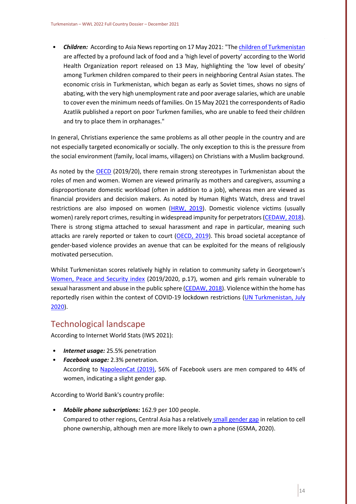• *Children:* According to Asia News reporting on 17 May 2021: "Th[e children of Turkmenistan](http://www.asianews.it/news-en/Children-starve-in-Ashgabats-endless-crisis--53161.html) are affected by a profound lack of food and a 'high level of poverty' according to the World Health Organization report released on 13 May, highlighting the 'low level of obesity' among Turkmen children compared to their peers in neighboring Central Asian states. The economic crisis in Turkmenistan, which began as early as Soviet times, shows no signs of abating, with the very high unemployment rate and poor average salaries, which are unable to cover even the minimum needs of families. On 15 May 2021 the correspondents of Radio Azatlik published a report on poor Turkmen families, who are unable to feed their children and try to place them in orphanages."

In general, Christians experience the same problems as all other people in the country and are not especially targeted economically or socially. The only exception to this is the pressure from the social environment (family, local imams, villagers) on Christians with a Muslim background.

As noted by the [OECD](https://www.genderindex.org/wp-content/uploads/files/datasheets/2019/TM.pdf) (2019/20), there remain strong stereotypes in Turkmenistan about the roles of men and women. Women are viewed primarily as mothers and caregivers, assuming a disproportionate domestic workload (often in addition to a job), whereas men are viewed as financial providers and decision makers. As noted by Human Rights Watch, dress and travel restrictions are also imposed on women [\(HRW, 2019\)](https://www.hrw.org/world-report/2019/country-chapters/turkmenistan). Domestic violence victims (usually women) rarely report crimes, resulting in widespread impunity for perpetrators [\(CEDAW, 2018\)](https://tbinternet.ohchr.org/_layouts/15/treatybodyexternal/Download.aspx?symbolno=CEDAW/C/TKM/CO/5&Lang=En). There is strong stigma attached to sexual harassment and rape in particular, meaning such attacks are rarely reported or taken to court [\(OECD, 2019\)](https://www.genderindex.org/wp-content/uploads/files/datasheets/2019/TM.pdf). This broad societal acceptance of gender-based violence provides an avenue that can be exploited for the means of religiously motivated persecution.

Whilst Turkmenistan scores relatively highly in relation to community safety in Georgetown's [Women, Peace and Security index](https://giwps.georgetown.edu/wp-content/uploads/2019/12/WPS-Index-2019-20-Report.pdf) (2019/2020, p.17), women and girls remain vulnerable to sexual harassment and abuse in the public sphere [\(CEDAW, 2018\)](https://tbinternet.ohchr.org/_layouts/15/treatybodyexternal/Download.aspx?symbolno=CEDAW/C/TKM/CO/5&Lang=En). Violence within the home has reportedly risen within the context of COVID-19 lockdown restrictions (UN Turkmenistan, July [2020\)](https://turkmenistan.un.org/en/53001-putting-brakes-covid-19-safeguarding-health-and-rights-women-and-girls).

## <span id="page-14-0"></span>Technological landscape

According to Internet World Stats (IWS 2021):

- *Internet usage:* 25.5% penetration
- *Facebook usage:* 2.3% penetration. According to [NapoleonCat \(2019\),](https://napoleoncat.com/stats/facebook-users-in-turkmenistan/2019/01#:~:text=There%20were%2015%20500%20Facebook,user%20group%20(7%20600).) 56% of Facebook users are men compared to 44% of women, indicating a slight gender gap.

According to World Bank's country profile:

• *Mobile phone subscriptions:* 162.9 per 100 people. Compared to other regions, Central Asia has a relatively [small gender gap](https://www.gsma.com/mobilefordevelopment/wp-content/uploads/2020/05/GSMA-The-Mobile-Gender-Gap-Report-2020.pdf) in relation to cell phone ownership, although men are more likely to own a phone (GSMA, 2020).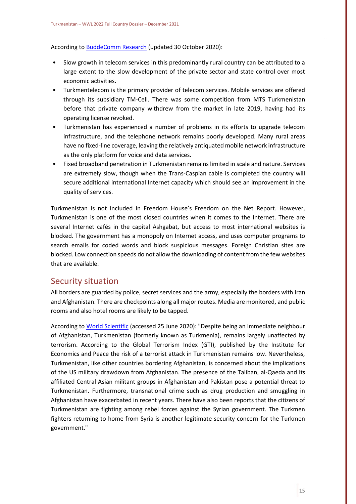According to [BuddeComm Research](https://www.budde.com.au/Research/Turkmenistan-Telecoms-Mobile-and-Broadband-Statistics-and-Analyses) (updated 30 October 2020):

- Slow growth in telecom services in this predominantly rural country can be attributed to a large extent to the slow development of the private sector and state control over most economic activities.
- Turkmentelecom is the primary provider of telecom services. Mobile services are offered through its subsidiary TM-Cell. There was some competition from MTS Turkmenistan before that private company withdrew from the market in late 2019, having had its operating license revoked.
- Turkmenistan has experienced a number of problems in its efforts to upgrade telecom infrastructure, and the telephone network remains poorly developed. Many rural areas have no fixed-line coverage, leaving the relatively antiquated mobile network infrastructure as the only platform for voice and data services.
- Fixed broadband penetration in Turkmenistan remains limited in scale and nature. Services are extremely slow, though when the Trans-Caspian cable is completed the country will secure additional international Internet capacity which should see an improvement in the quality of services.

Turkmenistan is not included in Freedom House's Freedom on the Net Report. However, Turkmenistan is one of the most closed countries when it comes to the Internet. There are several Internet cafés in the capital Ashgabat, but access to most international websites is blocked. The government has a monopoly on Internet access, and uses computer programs to search emails for coded words and block suspicious messages. Foreign Christian sites are blocked. Low connection speeds do not allow the downloading of content from the few websites that are available.

## <span id="page-15-0"></span>Security situation

All borders are guarded by police, secret services and the army, especially the borders with Iran and Afghanistan. There are checkpoints along all major routes. Media are monitored, and public rooms and also hotel rooms are likely to be tapped.

According to [World Scientific](https://www.worldscientific.com/doi/pdf/10.1142/9781783269969_0022) (accessed 25 June 2020): "Despite being an immediate neighbour of Afghanistan, Turkmenistan (formerly known as Turkmenia), remains largely unaffected by terrorism. According to the Global Terrorism Index (GTI), published by the Institute for Economics and Peace the risk of a terrorist attack in Turkmenistan remains low. Nevertheless, Turkmenistan, like other countries bordering Afghanistan, is concerned about the implications of the US military drawdown from Afghanistan. The presence of the Taliban, al-Qaeda and its affiliated Central Asian militant groups in Afghanistan and Pakistan pose a potential threat to Turkmenistan. Furthermore, transnational crime such as drug production and smuggling in Afghanistan have exacerbated in recent years. There have also been reports that the citizens of Turkmenistan are fighting among rebel forces against the Syrian government. The Turkmen fighters returning to home from Syria is another legitimate security concern for the Turkmen government."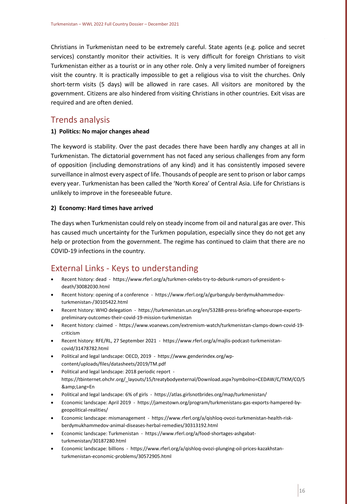Christians in Turkmenistan need to be extremely careful. State agents (e.g. police and secret services) constantly monitor their activities. It is very difficult for foreign Christians to visit Turkmenistan either as a tourist or in any other role. Only a very limited number of foreigners visit the country. It is practically impossible to get a religious visa to visit the churches. Only short-term visits (5 days) will be allowed in rare cases. All visitors are monitored by the government. Citizens are also hindered from visiting Christians in other countries. Exit visas are required and are often denied.

#### <span id="page-16-0"></span>Trends analysis

#### **1) Politics: No major changes ahead**

The keyword is stability. Over the past decades there have been hardly any changes at all in Turkmenistan. The dictatorial government has not faced any serious challenges from any form of opposition (including demonstrations of any kind) and it has consistently imposed severe surveillance in almost every aspect of life. Thousands of people are sent to prison or labor camps every year. Turkmenistan has been called the 'North Korea' of Central Asia. Life for Christians is unlikely to improve in the foreseeable future.

#### **2) Economy: Hard times have arrived**

The days when Turkmenistan could rely on steady income from oil and natural gas are over. This has caused much uncertainty for the Turkmen population, especially since they do not get any help or protection from the government. The regime has continued to claim that there are no COVID-19 infections in the country.

## <span id="page-16-1"></span>External Links - Keys to understanding

- Recent history: dead https://www.rferl.org/a/turkmen-celebs-try-to-debunk-rumors-of-president-sdeath/30082030.html
- Recent history: opening of a conference https://www.rferl.org/a/gurbanguly-berdymukhammedovturkmenistan-/30105422.html
- Recent history: WHO delegation https://turkmenistan.un.org/en/53288-press-briefing-whoeurope-expertspreliminary-outcomes-their-covid-19-mission-turkmenistan
- Recent history: claimed https://www.voanews.com/extremism-watch/turkmenistan-clamps-down-covid-19 criticism
- Recent history: RFE/RL, 27 September 2021 https://www.rferl.org/a/majlis-podcast-turkmenistancovid/31478782.html
- Political and legal landscape: OECD, 2019 https://www.genderindex.org/wpcontent/uploads/files/datasheets/2019/TM.pdf
- Political and legal landscape: 2018 periodic report https://tbinternet.ohchr.org/\_layouts/15/treatybodyexternal/Download.aspx?symbolno=CEDAW/C/TKM/CO/5 &Lang=En
- Political and legal landscape: 6% of girls https://atlas.girlsnotbrides.org/map/turkmenistan/
- Economic landscape: April 2019 https://jamestown.org/program/turkmenistans-gas-exports-hampered-bygeopolitical-realities/
- Economic landscape: mismanagement https://www.rferl.org/a/qishloq-ovozi-turkmenistan-health-riskberdymukhammedov-animal-diseases-herbal-remedies/30313192.html
- Economic landscape: Turkmenistan https://www.rferl.org/a/food-shortages-ashgabatturkmenistan/30187280.html
- Economic landscape: billions https://www.rferl.org/a/qishloq-ovozi-plunging-oil-prices-kazakhstanturkmenistan-economic-problems/30572905.html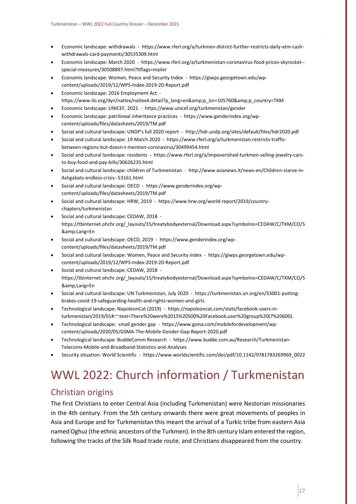- Economic landscape: withdrawals https://www.rferl.org/a/turkmen-district-further-restricts-daily-atm-cashwithdrawals-card-payments/30535309.html
- Economic landscape: March 2020 https://www.rferl.org/a/turkmenistan-coronavirus-food-prices-skyrocket- special-measures/30508897.html?ltflags=mailer
- Economic landscape: Women, Peace and Security Index https://giwps.georgetown.edu/wpcontent/uploads/2019/12/WPS-Index-2019-20-Report.pdf
- Economic landscape: 2016 Employment Act https://www.ilo.org/dyn/natlex/natlex4.detail?p\_lang=en&p\_isn=105760&p\_country=TKM
- Economic landscape: UNICEF, 2021 https://www.unicef.org/turkmenistan/gender
- Economic landscape: patrilineal inheritance practices https://www.genderindex.org/wpcontent/uploads/files/datasheets/2019/TM.pdf
- Social and cultural landscape: UNDP's full 2020 report http://hdr.undp.org/sites/default/files/hdr2020.pdf
- Social and cultural landscape: 19 March 2020 https://www.rferl.org/a/turkmenistan-restricts-trafficbetween-regions-but-doesn-t-mention-coronavirus/30499454.html
- Social and cultural landscape: residents https://www.rferl.org/a/impoverished-turkmen-selling-jewelry-carsto-buy-food-and-pay-bills/30626235.html
- Social and cultural landscape: children of Turkmenistan http://www.asianews.it/news-en/Children-starve-in-Ashgabats-endless-crisis--53161.html
- Social and cultural landscape: OECD https://www.genderindex.org/wpcontent/uploads/files/datasheets/2019/TM.pdf
- Social and cultural landscape: HRW, 2019 https://www.hrw.org/world-report/2019/countrychapters/turkmenistan
- Social and cultural landscape: CEDAW, 2018 https://tbinternet.ohchr.org/\_layouts/15/treatybodyexternal/Download.aspx?symbolno=CEDAW/C/TKM/CO/5 &Lang=En
- Social and cultural landscape: OECD, 2019 https://www.genderindex.org/wpcontent/uploads/files/datasheets/2019/TM.pdf
- Social and cultural landscape: Women, Peace and Security index https://giwps.georgetown.edu/wpcontent/uploads/2019/12/WPS-Index-2019-20-Report.pdf
- Social and cultural landscape: CEDAW, 2018 https://tbinternet.ohchr.org/\_layouts/15/treatybodyexternal/Download.aspx?symbolno=CEDAW/C/TKM/CO/5 &Lang=En
- Social and cultural landscape: UN Turkmenistan, July 2020 https://turkmenistan.un.org/en/53001-puttingbrakes-covid-19-safeguarding-health-and-rights-women-and-girls
- Technological landscape: NapoleonCat (2019) https://napoleoncat.com/stats/facebook-users-inturkmenistan/2019/01#:~:text=There%20were%2015%20500%20Facebook,user%20group%20(7%20600).
- Technological landscape: small gender gap https://www.gsma.com/mobilefordevelopment/wpcontent/uploads/2020/05/GSMA-The-Mobile-Gender-Gap-Report-2020.pdf
- Technological landscape: BuddeComm Research https://www.budde.com.au/Research/Turkmenistan-Telecoms-Mobile-and-Broadband-Statistics-and-Analyses
- Security situation: World Scientific https://www.worldscientific.com/doi/pdf/10.1142/9781783269969\_0022

# <span id="page-17-0"></span>WWL 2022: Church information / Turkmenistan

## <span id="page-17-1"></span>Christian origins

The first Christians to enter Central Asia (including Turkmenistan) were Nestorian missionaries in the 4th century. From the 5th century onwards there were great movements of peoples in Asia and Europe and for Turkmenistan this meant the arrival of a Turkic tribe from eastern Asia named Oghuz (the ethnic ancestors of the Turkmen). In the 8th century Islam entered the region, following the tracks of the Silk Road trade route, and Christians disappeared from the country.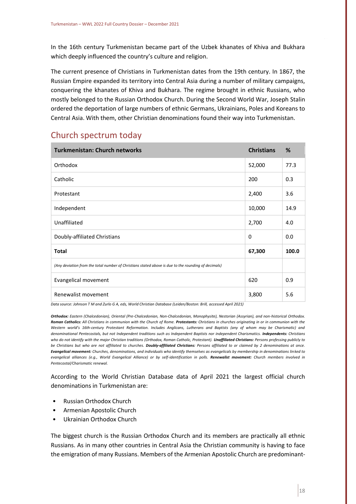In the 16th century Turkmenistan became part of the Uzbek khanates of Khiva and Bukhara which deeply influenced the country's culture and religion.

The current presence of Christians in Turkmenistan dates from the 19th century. In 1867, the Russian Empire expanded its territory into Central Asia during a number of military campaigns, conquering the khanates of Khiva and Bukhara. The regime brought in ethnic Russians, who mostly belonged to the Russian Orthodox Church. During the Second World War, Joseph Stalin ordered the deportation of large numbers of ethnic Germans, Ukrainians, Poles and Koreans to Central Asia. With them, other Christian denominations found their way into Turkmenistan.

## <span id="page-18-0"></span>Church spectrum today

| <b>Turkmenistan: Church networks</b>                                                                | <b>Christians</b> | %     |
|-----------------------------------------------------------------------------------------------------|-------------------|-------|
| Orthodox                                                                                            | 52,000            | 77.3  |
| Catholic                                                                                            | 200               | 0.3   |
| Protestant                                                                                          | 2,400             | 3.6   |
| Independent                                                                                         | 10,000            | 14.9  |
| Unaffiliated                                                                                        | 2,700             | 4.0   |
| Doubly-affiliated Christians                                                                        | $\Omega$          | 0.0   |
| <b>Total</b>                                                                                        | 67,300            | 100.0 |
| (Any deviation from the total number of Christians stated above is due to the rounding of decimals) |                   |       |
| <b>Evangelical movement</b>                                                                         | 620               | 0.9   |
| Renewalist movement                                                                                 | 3,800             | 5.6   |

*Data source: Johnson T M and Zurlo G A, eds, World Christian Database (Leiden/Boston: Brill, accessed April 2021)*

*Orthodox: Eastern (Chalcedonian), Oriental (Pre-Chalcedonian, Non-Chalcedonian, Monophysite), Nestorian (Assyrian), and non-historical Orthodox. Roman Catholics: All Christians in communion with the Church of Rome. Protestants: Christians in churches originating in or in communion with the Western world's 16th-century Protestant Reformation. Includes Anglicans, Lutherans and Baptists (any of whom may be Charismatic) and denominational Pentecostals, but not Independent traditions such as Independent Baptists nor independent Charismatics. Independents: Christians*  who do not identify with the major Christian traditions (Orthodox, Roman Catholic, Protestant). **Unaffiliated Christians:** Persons professing publicly to *be Christians but who are not affiliated to churches. Doubly-affiliated Christians: Persons affiliated to or claimed by 2 denominations at once. Evangelical movement: Churches, denominations, and individuals who identify themselves as evangelicals by membership in denominations linked to evangelical alliances (e.g., World Evangelical Alliance) or by self-identification in polls. Renewalist movement: Church members involved in Pentecostal/Charismatic renewal.*

According to the World Christian Database data of April 2021 the largest official church denominations in Turkmenistan are:

- Russian Orthodox Church
- Armenian Apostolic Church
- Ukrainian Orthodox Church

The biggest church is the Russian Orthodox Church and its members are practically all ethnic Russians. As in many other countries in Central Asia the Christian community is having to face the emigration of many Russians. Members of the Armenian Apostolic Church are predominant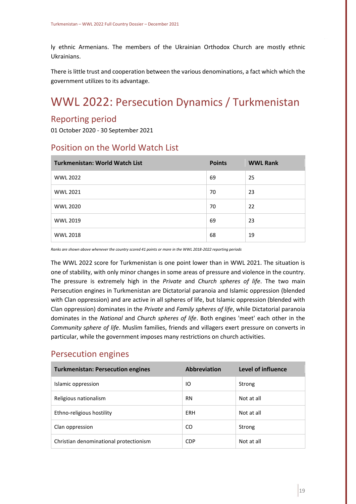ly ethnic Armenians. The members of the Ukrainian Orthodox Church are mostly ethnic Ukrainians.

There is little trust and cooperation between the various denominations, a fact which which the government utilizes to its advantage.

# <span id="page-19-0"></span>WWL 2022: Persecution Dynamics / Turkmenistan

## <span id="page-19-1"></span>Reporting period

01 October 2020 - 30 September 2021

## <span id="page-19-2"></span>Position on the World Watch List

| <b>Turkmenistan: World Watch List</b> | <b>Points</b> | <b>WWL Rank</b> |
|---------------------------------------|---------------|-----------------|
| <b>WWL 2022</b>                       | 69            | 25              |
| <b>WWL 2021</b>                       | 70            | 23              |
| <b>WWL 2020</b>                       | 70            | 22              |
| <b>WWL 2019</b>                       | 69            | 23              |
| <b>WWL 2018</b>                       | 68            | 19              |

*Ranks are shown above whenever the country scored 41 points or more in the WWL 2018-2022 reporting periods*

The WWL 2022 score for Turkmenistan is one point lower than in WWL 2021. The situation is one of stability, with only minor changes in some areas of pressure and violence in the country. The pressure is extremely high in the *Private* and *Church spheres of life*. The two main Persecution engines in Turkmenistan are Dictatorial paranoia and Islamic oppression (blended with Clan oppression) and are active in all spheres of life, but Islamic oppression (blended with Clan oppression) dominates in the *Private* and *Family spheres of life*, while Dictatorial paranoia dominates in the *National* and *Church spheres of life*. Both engines 'meet' each other in the *Community sphere of life*. Muslim families, friends and villagers exert pressure on converts in particular, while the government imposes many restrictions on church activities.

#### <span id="page-19-3"></span>Persecution engines

| <b>Turkmenistan: Persecution engines</b> | <b>Abbreviation</b> | Level of influence |
|------------------------------------------|---------------------|--------------------|
| Islamic oppression                       | IO                  | Strong             |
| Religious nationalism                    | <b>RN</b>           | Not at all         |
| Ethno-religious hostility                | ERH                 | Not at all         |
| Clan oppression                          | CO                  | Strong             |
| Christian denominational protectionism   | <b>CDP</b>          | Not at all         |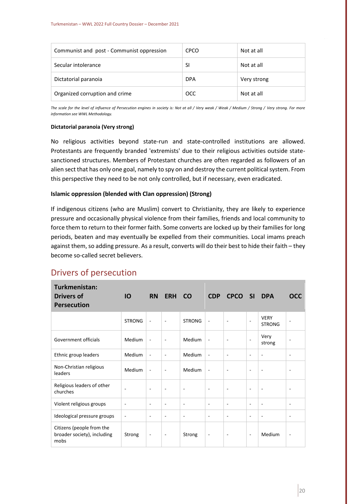| Communist and post - Communist oppression | <b>CPCO</b> | Not at all  |
|-------------------------------------------|-------------|-------------|
| Secular intolerance                       | SI          | Not at all  |
| Dictatorial paranoia                      | <b>DPA</b>  | Very strong |
| Organized corruption and crime            | <b>OCC</b>  | Not at all  |

*The scale for the level of influence of Persecution engines in society is: Not at all / Very weak / Weak / Medium / Strong / Very strong. For more information see WWL Methodology.*

#### **Dictatorial paranoia (Very strong)**

No religious activities beyond state-run and state-controlled institutions are allowed. Protestants are frequently branded 'extremists' due to their religious activities outside statesanctioned structures. Members of Protestant churches are often regarded as followers of an alien sect that has only one goal, namely to spy on and destroy the current political system. From this perspective they need to be not only controlled, but if necessary, even eradicated.

#### **Islamic oppression (blended with Clan oppression) (Strong)**

If indigenous citizens (who are Muslim) convert to Christianity, they are likely to experience pressure and occasionally physical violence from their families, friends and local community to force them to return to their former faith. Some converts are locked up by their families for long periods, beaten and may eventually be expelled from their communities. Local imams preach against them, so adding pressure. As a result, converts will do their best to hide their faith – they become so-called secret believers.

| Turkmenistan:<br><b>Drivers of</b><br><b>Persecution</b>         | IO                       | <b>RN</b>                | <b>ERH</b>               | <b>CO</b>                | <b>CDP</b>               | <b>CPCO</b>              | <b>SI</b>                | <b>DPA</b>                   | <b>OCC</b>               |
|------------------------------------------------------------------|--------------------------|--------------------------|--------------------------|--------------------------|--------------------------|--------------------------|--------------------------|------------------------------|--------------------------|
|                                                                  | <b>STRONG</b>            | $\overline{\phantom{a}}$ | $\overline{\phantom{a}}$ | <b>STRONG</b>            | $\overline{\phantom{a}}$ | $\overline{\phantom{a}}$ | $\qquad \qquad -$        | <b>VERY</b><br><b>STRONG</b> |                          |
| Government officials                                             | Medium                   | $\blacksquare$           | $\overline{\phantom{a}}$ | Medium                   | $\overline{\phantom{a}}$ | $\overline{\phantom{a}}$ | $\overline{\phantom{a}}$ | Very<br>strong               |                          |
| Ethnic group leaders                                             | Medium                   | $\blacksquare$           | $\overline{\phantom{a}}$ | Medium                   | $\blacksquare$           | $\overline{\phantom{a}}$ | $\overline{\phantom{a}}$ | $\overline{a}$               | $\overline{\phantom{a}}$ |
| Non-Christian religious<br>leaders                               | Medium                   | $\overline{\phantom{a}}$ | $\blacksquare$           | Medium                   | $\overline{\phantom{a}}$ | $\overline{\phantom{a}}$ | ٠                        | $\overline{a}$               |                          |
| Religious leaders of other<br>churches                           | $\qquad \qquad -$        | $\overline{\phantom{a}}$ | $\overline{\phantom{a}}$ | $\overline{\phantom{a}}$ | $\blacksquare$           | $\overline{\phantom{a}}$ | $\overline{\phantom{a}}$ | $\overline{\phantom{a}}$     | $\overline{\phantom{a}}$ |
| Violent religious groups                                         | $\overline{\phantom{a}}$ | $\overline{\phantom{a}}$ | $\overline{\phantom{a}}$ | $\overline{\phantom{a}}$ | $\overline{\phantom{a}}$ | $\overline{\phantom{a}}$ | $\overline{\phantom{a}}$ | $\overline{\phantom{a}}$     | $\overline{\phantom{a}}$ |
| Ideological pressure groups                                      | $\overline{\phantom{a}}$ | $\overline{\phantom{a}}$ | ۰                        | $\overline{\phantom{a}}$ | $\overline{\phantom{a}}$ | $\overline{\phantom{a}}$ | $\qquad \qquad -$        | ٠                            |                          |
| Citizens (people from the<br>broader society), including<br>mobs | Strong                   | $\overline{\phantom{a}}$ | $\overline{\phantom{a}}$ | Strong                   | $\overline{\phantom{a}}$ | $\overline{\phantom{a}}$ | $\overline{\phantom{a}}$ | Medium                       | $\overline{\phantom{a}}$ |

## <span id="page-20-0"></span>Drivers of persecution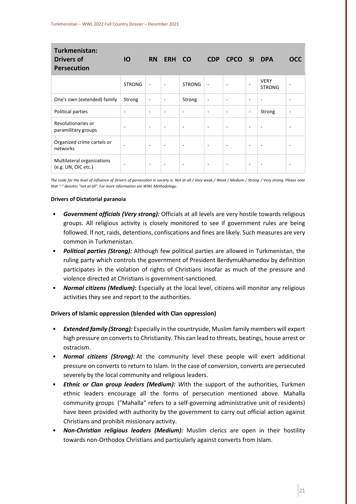| Turkmenistan:<br><b>Drivers of</b><br><b>Persecution</b> | <b>IO</b>     | <b>RN</b>                | <b>ERH</b>               | <b>CO</b>                | <b>CDP</b>               | CPCO SI                  |                          | <b>DPA</b>                   | <b>OCC</b>               |
|----------------------------------------------------------|---------------|--------------------------|--------------------------|--------------------------|--------------------------|--------------------------|--------------------------|------------------------------|--------------------------|
|                                                          | <b>STRONG</b> | $\overline{\phantom{a}}$ | $\overline{\phantom{a}}$ | <b>STRONG</b>            | $\overline{\phantom{a}}$ | $\overline{\phantom{a}}$ | $\overline{\phantom{a}}$ | <b>VERY</b><br><b>STRONG</b> |                          |
| One's own (extended) family                              | Strong        | $\overline{\phantom{a}}$ | $\overline{\phantom{a}}$ | Strong                   | $\overline{\phantom{a}}$ | $\blacksquare$           | -                        | ٠                            | $\overline{\phantom{a}}$ |
| Political parties                                        | ٠             | $\overline{\phantom{a}}$ | $\blacksquare$           | $\blacksquare$           | ۰                        | ٠                        | $\overline{\phantom{a}}$ | Strong                       | $\overline{\phantom{a}}$ |
| Revolutionaries or<br>paramilitary groups                | ٠             | $\overline{\phantom{a}}$ | $\overline{\phantom{a}}$ | $\blacksquare$           | $\overline{\phantom{a}}$ | $\blacksquare$           | ۰                        | ٠                            | ٠                        |
| Organized crime cartels or<br>networks                   | ٠             | $\overline{\phantom{a}}$ | $\overline{\phantom{a}}$ | $\overline{\phantom{a}}$ | $\overline{\phantom{a}}$ | $\overline{\phantom{a}}$ | $\overline{\phantom{a}}$ | $\overline{\phantom{a}}$     | $\overline{\phantom{a}}$ |
| Multilateral organizations<br>(e.g. UN, OIC etc.)        |               | $\overline{\phantom{a}}$ | $\overline{\phantom{a}}$ | $\overline{\phantom{a}}$ | -                        | $\blacksquare$           | $\overline{\phantom{a}}$ | $\overline{\phantom{a}}$     | $\overline{\phantom{a}}$ |

*The scale for the level of influence of Drivers of persecution in society is: Not at all / Very weak / Weak / Medium / Strong / Very strong. Please note that "-" denotes "not at all". For more information see WWL Methodology.*

#### **Drivers of Dictatorial paranoia**

- *Government officials (Very strong):* Officials at all levels are very hostile towards religious groups. All religious activity is closely monitored to see if government rules are being followed. If not, raids, detentions, confiscations and fines are likely. Such measures are very common in Turkmenistan.
- *Political parties (Strong):* Although few political parties are allowed in Turkmenistan, the ruling party which controls the government of President Berdymukhamedov by definition participates in the violation of rights of Christians insofar as much of the pressure and violence directed at Christians is government-sanctioned.
- *Normal citizens (Medium)***:** Especially at the local level, citizens will monitor any religious activities they see and report to the authorities.

#### **Drivers of Islamic oppression (blended with Clan oppression)**

- *Extended family (Strong):* Especially in the countryside, Muslim family members will expert high pressure on converts to Christianity. This can lead to threats, beatings, house arrest or ostracism.
- *Normal citizens (Strong):* At the community level these people will exert additional pressure on converts to return to Islam. In the case of conversion, converts are persecuted severely by the local community and religious leaders.
- *Ethnic or Clan group leaders (Medium): W*ith the support of the authorities, Turkmen ethnic leaders encourage all the forms of persecution mentioned above. Mahalla community groups ("Mahalla" refers to a self-governing administrative unit of residents) have been provided with authority by the government to carry out official action against Christians and prohibit missionary activity.
- *Non-Christian religious leaders (Medium):* Muslim clerics are open in their hostility towards non-Orthodox Christians and particularly against converts from Islam.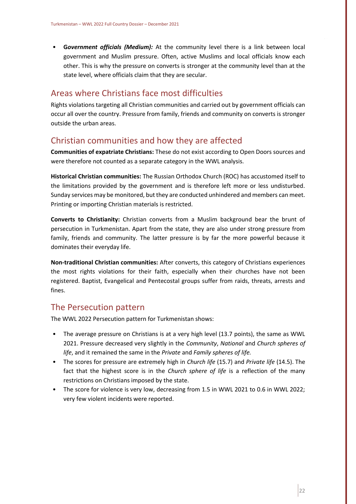• **G***overnment officials (Medium):* At the community level there is a link between local government and Muslim pressure. Often, active Muslims and local officials know each other. This is why the pressure on converts is stronger at the community level than at the state level, where officials claim that they are secular.

### <span id="page-22-0"></span>Areas where Christians face most difficulties

Rights violations targeting all Christian communities and carried out by government officials can occur all over the country. Pressure from family, friends and community on converts is stronger outside the urban areas.

### <span id="page-22-1"></span>Christian communities and how they are affected

**Communities of expatriate Christians:** These do not exist according to Open Doors sources and were therefore not counted as a separate category in the WWL analysis.

**Historical Christian communities:** The Russian Orthodox Church (ROC) has accustomed itself to the limitations provided by the government and is therefore left more or less undisturbed. Sunday services may be monitored, but they are conducted unhindered and members can meet. Printing or importing Christian materials is restricted.

**Converts to Christianity:** Christian converts from a Muslim background bear the brunt of persecution in Turkmenistan. Apart from the state, they are also under strong pressure from family, friends and community. The latter pressure is by far the more powerful because it dominates their everyday life.

**Non-traditional Christian communities:** After converts, this category of Christians experiences the most rights violations for their faith, especially when their churches have not been registered. Baptist, Evangelical and Pentecostal groups suffer from raids, threats, arrests and fines.

## <span id="page-22-2"></span>The Persecution pattern

The WWL 2022 Persecution pattern for Turkmenistan shows:

- The average pressure on Christians is at a very high level (13.7 points), the same as WWL 2021. Pressure decreased very slightly in the *Community*, *National* and *Church spheres of life*, and it remained the same in the *Private* and *Family spheres of life.*
- The scores for pressure are extremely high in *Church life* (15.7) and *Private life* (14.5). The fact that the highest score is in the *Church sphere of life* is a reflection of the many restrictions on Christians imposed by the state.
- The score for violence is very low, decreasing from 1.5 in WWL 2021 to 0.6 in WWL 2022; very few violent incidents were reported.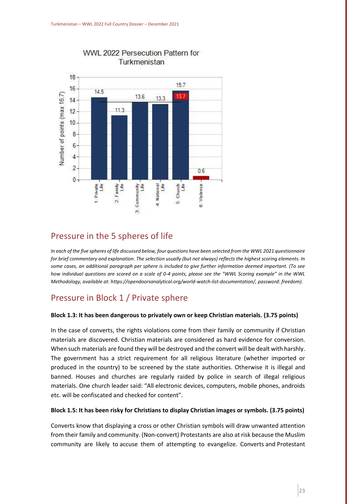

#### WWL 2022 Persecution Pattern for Turkmenistan

### <span id="page-23-0"></span>Pressure in the 5 spheres of life

*In each of the five spheres of life discussed below, four questions have been selected from the WWL 2021 questionnaire for brief commentary and explanation. The selection usually (but not always) reflects the highest scoring elements. In some cases, an additional paragraph per sphere is included to give further information deemed important. (To see how individual questions are scored on a scale of 0-4 points, please see the "WWL Scoring example" in the WWL Methodology, available at: https://opendoorsanalytical.org/world-watch-list-documentation/, password: freedom).*

## Pressure in Block 1 / Private sphere

#### **Block 1.3: It has been dangerous to privately own or keep Christian materials. (3.75 points)**

In the case of converts, the rights violations come from their family or community if Christian materials are discovered. Christian materials are considered as hard evidence for conversion. When such materials are found they will be destroyed and the convert will be dealt with harshly. The government has a strict requirement for all religious literature (whether imported or produced in the country) to be screened by the state authorities. Otherwise it is illegal and banned. Houses and churches are regularly raided by police in search of illegal religious materials. One church leader said: "All electronic devices, computers, mobile phones, androids etc. will be confiscated and checked for content".

#### **Block 1.5: It has been risky for Christians to display Christian images or symbols. (3.75 points)**

Converts know that displaying a cross or other Christian symbols will draw unwanted attention from their family and community. (Non-convert) Protestants are also at risk because the Muslim community are likely to accuse them of attempting to evangelize. Converts and Protestant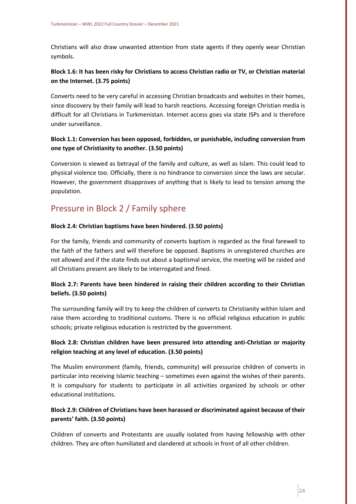Christians will also draw unwanted attention from state agents if they openly wear Christian symbols.

#### **Block 1.6: It has been risky for Christians to access Christian radio or TV, or Christian material on the Internet. (3.75 points)**

Converts need to be very careful in accessing Christian broadcasts and websites in their homes, since discovery by their family will lead to harsh reactions. Accessing foreign Christian media is difficult for all Christians in Turkmenistan. Internet access goes via state ISPs and is therefore under surveillance.

#### **Block 1.1: Conversion has been opposed, forbidden, or punishable, including conversion from one type of Christianity to another. (3.50 points)**

Conversion is viewed as betrayal of the family and culture, as well as Islam. This could lead to physical violence too. Officially, there is no hindrance to conversion since the laws are secular. However, the government disapproves of anything that is likely to lead to tension among the population.

## Pressure in Block 2 / Family sphere

#### **Block 2.4: Christian baptisms have been hindered. (3.50 points)**

For the family, friends and community of converts baptism is regarded as the final farewell to the faith of the fathers and will therefore be opposed. Baptisms in unregistered churches are not allowed and if the state finds out about a baptismal service, the meeting will be raided and all Christians present are likely to be interrogated and fined.

#### **Block 2.7: Parents have been hindered in raising their children according to their Christian beliefs. (3.50 points)**

The surrounding family will try to keep the children of converts to Christianity within Islam and raise them according to traditional customs. There is no official religious education in public schools; private religious education is restricted by the government.

#### **Block 2.8: Christian children have been pressured into attending anti-Christian or majority religion teaching at any level of education. (3.50 points)**

The Muslim environment (family, friends, community) will pressurize children of converts in particular into receiving Islamic teaching – sometimes even against the wishes of their parents. It is compulsory for students to participate in all activities organized by schools or other educational institutions.

#### **Block 2.9: Children of Christians have been harassed or discriminated against because of their parents' faith. (3.50 points)**

Children of converts and Protestants are usually isolated from having fellowship with other children. They are often humiliated and slandered at schools in front of all other children.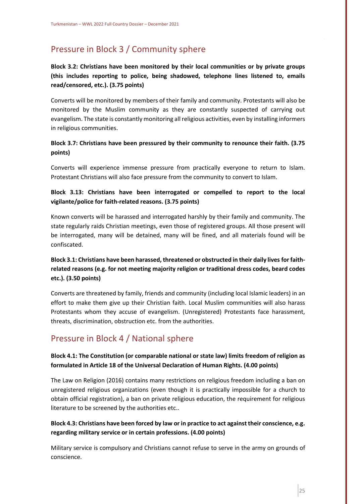# Pressure in Block 3 / Community sphere

**Block 3.2: Christians have been monitored by their local communities or by private groups (this includes reporting to police, being shadowed, telephone lines listened to, emails read/censored, etc.). (3.75 points)**

Converts will be monitored by members of their family and community. Protestants will also be monitored by the Muslim community as they are constantly suspected of carrying out evangelism. The state is constantly monitoring all religious activities, even by installing informers in religious communities.

#### **Block 3.7: Christians have been pressured by their community to renounce their faith. (3.75 points)**

Converts will experience immense pressure from practically everyone to return to Islam. Protestant Christians will also face pressure from the community to convert to Islam.

#### **Block 3.13: Christians have been interrogated or compelled to report to the local vigilante/police for faith-related reasons. (3.75 points)**

Known converts will be harassed and interrogated harshly by their family and community. The state regularly raids Christian meetings, even those of registered groups. All those present will be interrogated, many will be detained, many will be fined, and all materials found will be confiscated.

#### **Block 3.1: Christians have been harassed, threatened or obstructed in their daily lives for faithrelated reasons (e.g. for not meeting majority religion or traditional dress codes, beard codes etc.). (3.50 points)**

Converts are threatened by family, friends and community (including local Islamic leaders) in an effort to make them give up their Christian faith. Local Muslim communities will also harass Protestants whom they accuse of evangelism. (Unregistered) Protestants face harassment, threats, discrimination, obstruction etc. from the authorities.

# Pressure in Block 4 / National sphere

#### **Block 4.1: The Constitution (or comparable national or state law) limits freedom of religion as formulated in Article 18 of the Universal Declaration of Human Rights. (4.00 points)**

The Law on Religion (2016) contains many restrictions on religious freedom including a ban on unregistered religious organizations (even though it is practically impossible for a church to obtain official registration), a ban on private religious education, the requirement for religious literature to be screened by the authorities etc..

#### **Block 4.3: Christians have been forced by law or in practice to act against their conscience, e.g. regarding military service or in certain professions. (4.00 points)**

Military service is compulsory and Christians cannot refuse to serve in the army on grounds of conscience.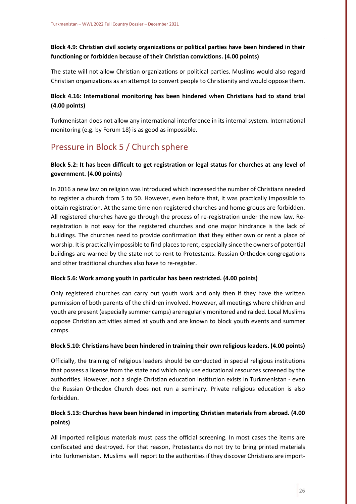**Block 4.9: Christian civil society organizations or political parties have been hindered in their functioning or forbidden because of their Christian convictions. (4.00 points)**

The state will not allow Christian organizations or political parties. Muslims would also regard Christian organizations as an attempt to convert people to Christianity and would oppose them.

#### **Block 4.16: International monitoring has been hindered when Christians had to stand trial (4.00 points)**

Turkmenistan does not allow any international interference in its internal system. International monitoring (e.g. by Forum 18) is as good as impossible.

# Pressure in Block 5 / Church sphere

#### **Block 5.2: It has been difficult to get registration or legal status for churches at any level of government. (4.00 points)**

In 2016 a new law on religion was introduced which increased the number of Christians needed to register a church from 5 to 50. However, even before that, it was practically impossible to obtain registration. At the same time non-registered churches and home groups are forbidden. All registered churches have go through the process of re-registration under the new law. Reregistration is not easy for the registered churches and one major hindrance is the lack of buildings. The churches need to provide confirmation that they either own or rent a place of worship. It is practically impossible to find places to rent, especially since the owners of potential buildings are warned by the state not to rent to Protestants. Russian Orthodox congregations and other traditional churches also have to re-register.

#### **Block 5.6: Work among youth in particular has been restricted. (4.00 points)**

Only registered churches can carry out youth work and only then if they have the written permission of both parents of the children involved. However, all meetings where children and youth are present (especially summer camps) are regularly monitored and raided. Local Muslims oppose Christian activities aimed at youth and are known to block youth events and summer camps.

#### **Block 5.10: Christians have been hindered in training their own religious leaders. (4.00 points)**

Officially, the training of religious leaders should be conducted in special religious institutions that possess a license from the state and which only use educational resources screened by the authorities. However, not a single Christian education institution exists in Turkmenistan - even the Russian Orthodox Church does not run a seminary. Private religious education is also forbidden.

#### **Block 5.13: Churches have been hindered in importing Christian materials from abroad. (4.00 points)**

All imported religious materials must pass the official screening. In most cases the items are confiscated and destroyed. For that reason, Protestants do not try to bring printed materials into Turkmenistan. Muslims will report to the authorities if they discover Christians are import-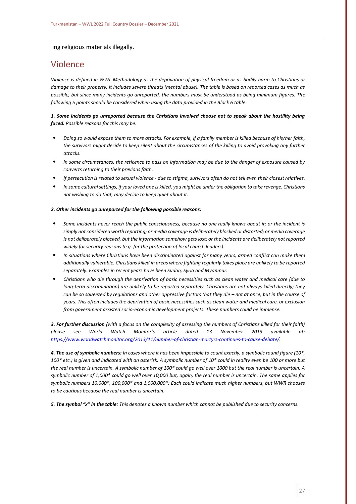#### ing religious materials illegally.

#### <span id="page-27-0"></span>Violence

*Violence is defined in WWL Methodology as the deprivation of physical freedom or as bodily harm to Christians or damage to their property. It includes severe threats (mental abuse). The table is based on reported cases as much as possible, but since many incidents go unreported, the numbers must be understood as being minimum figures. The following 5 points should be considered when using the data provided in the Block 6 table:*

#### *1. Some incidents go unreported because the Christians involved choose not to speak about the hostility being faced. Possible reasons for this may be:*

- *Doing so would expose them to more attacks. For example, if a family member is killed because of his/her faith, the survivors might decide to keep silent about the circumstances of the killing to avoid provoking any further attacks.*
- *In some circumstances, the reticence to pass on information may be due to the danger of exposure caused by converts returning to their previous faith.*
- *If persecution is related to sexual violence - due to stigma, survivors often do not tell even their closest relatives.*
- *In some cultural settings, if your loved one is killed, you might be under the obligation to take revenge. Christians not wishing to do that, may decide to keep quiet about it.*

#### *2. Other incidents go unreported for the following possible reasons:*

- *Some incidents never reach the public consciousness, because no one really knows about it; or the incident is simply not considered worth reporting; or media coverage is deliberately blocked or distorted; or media coverage is not deliberately blocked, but the information somehow gets lost; or the incidents are deliberately not reported widely for security reasons (e.g. for the protection of local church leaders).*
- *In situations where Christians have been discriminated against for many years, armed conflict can make them additionally vulnerable. Christians killed in areas where fighting regularly takes place are unlikely to be reported separately. Examples in recent years have been Sudan, Syria and Myanmar.*
- *Christians who die through the deprivation of basic necessities such as clean water and medical care (due to long-term discrimination) are unlikely to be reported separately. Christians are not always killed directly; they can be so squeezed by regulations and other oppressive factors that they die – not at once, but in the course of years. This often includes the deprivation of basic necessities such as clean water and medical care, or exclusion from government assisted socio-economic development projects. These numbers could be immense.*

*3. For further discussion (with a focus on the complexity of assessing the numbers of Christians killed for their faith) please see World Watch Monitor's article dated 13 November 2013 available at: [https://www.worldwatchmonitor.org/2013/11/number-of-christian-martyrs-continues-to-cause-debate/.](https://www.worldwatchmonitor.org/2013/11/number-of-christian-martyrs-continues-to-cause-debate/)*

*4. The use of symbolic numbers: In cases where it has been impossible to count exactly, a symbolic round figure (10\*, 100\* etc.) is given and indicated with an asterisk. A symbolic number of 10\* could in reality even be 100 or more but the real number is uncertain. A symbolic number of 100\* could go well over 1000 but the real number is uncertain. A symbolic number of 1,000\* could go well over 10,000 but, again, the real number is uncertain. The same applies for symbolic numbers 10,000\*, 100,000\* and 1,000,000\*: Each could indicate much higher numbers, but WWR chooses to be cautious because the real number is uncertain.*

*5. The symbol "x" in the table: This denotes a known number which cannot be published due to security concerns.*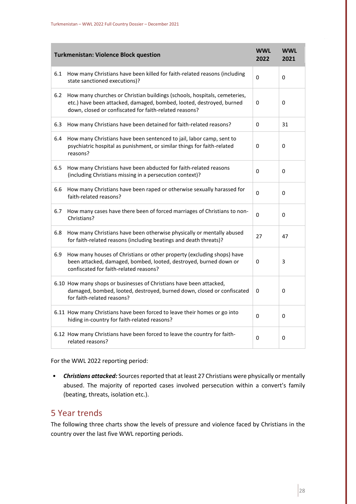|       | <b>Turkmenistan: Violence Block question</b>                                                                                                                                                                | <b>WWL</b><br>2022 | <b>WWL</b><br>2021 |
|-------|-------------------------------------------------------------------------------------------------------------------------------------------------------------------------------------------------------------|--------------------|--------------------|
| 6.1   | How many Christians have been killed for faith-related reasons (including<br>state sanctioned executions)?                                                                                                  | 0                  | 0                  |
| $6.2$ | How many churches or Christian buildings (schools, hospitals, cemeteries,<br>etc.) have been attacked, damaged, bombed, looted, destroyed, burned<br>down, closed or confiscated for faith-related reasons? | 0                  | 0                  |
| 6.3   | How many Christians have been detained for faith-related reasons?                                                                                                                                           | 0                  | 31                 |
| 6.4   | How many Christians have been sentenced to jail, labor camp, sent to<br>psychiatric hospital as punishment, or similar things for faith-related<br>reasons?                                                 | 0                  | 0                  |
| 6.5   | How many Christians have been abducted for faith-related reasons<br>(including Christians missing in a persecution context)?                                                                                | 0                  | 0                  |
| 6.6   | How many Christians have been raped or otherwise sexually harassed for<br>faith-related reasons?                                                                                                            | 0                  | 0                  |
| 6.7   | How many cases have there been of forced marriages of Christians to non-<br>Christians?                                                                                                                     | 0                  | 0                  |
| 6.8   | How many Christians have been otherwise physically or mentally abused<br>for faith-related reasons (including beatings and death threats)?                                                                  | 27                 | 47                 |
| 6.9   | How many houses of Christians or other property (excluding shops) have<br>been attacked, damaged, bombed, looted, destroyed, burned down or<br>confiscated for faith-related reasons?                       | 0                  | 3                  |
|       | 6.10 How many shops or businesses of Christians have been attacked,<br>damaged, bombed, looted, destroyed, burned down, closed or confiscated<br>for faith-related reasons?                                 | 0                  | 0                  |
|       | 6.11 How many Christians have been forced to leave their homes or go into<br>hiding in-country for faith-related reasons?                                                                                   | $\Omega$           | 0                  |
|       | 6.12 How many Christians have been forced to leave the country for faith-<br>related reasons?                                                                                                               | 0                  | 0                  |

For the WWL 2022 reporting period:

• *Christians attacked:* Sources reported that at least 27 Christians were physically or mentally abused. The majority of reported cases involved persecution within a convert's family (beating, threats, isolation etc.).

## <span id="page-28-0"></span>5 Year trends

The following three charts show the levels of pressure and violence faced by Christians in the country over the last five WWL reporting periods.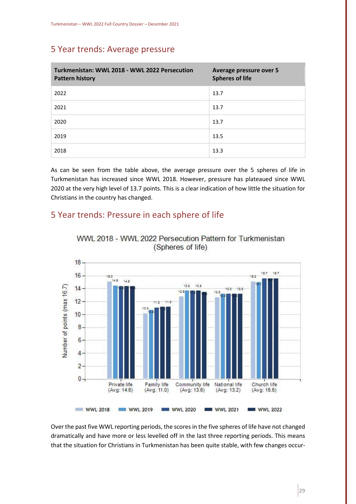## 5 Year trends: Average pressure

| Turkmenistan: WWL 2018 - WWL 2022 Persecution<br><b>Pattern history</b> | Average pressure over 5<br><b>Spheres of life</b> |
|-------------------------------------------------------------------------|---------------------------------------------------|
| 2022                                                                    | 13.7                                              |
| 2021                                                                    | 13.7                                              |
| 2020                                                                    | 13.7                                              |
| 2019                                                                    | 13.5                                              |
| 2018                                                                    | 13.3                                              |

As can be seen from the table above, the average pressure over the 5 spheres of life in Turkmenistan has increased since WWL 2018. However, pressure has plateaued since WWL 2020 at the very high level of 13.7 points. This is a clear indication of how little the situation for Christians in the country has changed.

## 5 Year trends: Pressure in each sphere of life



WWL 2018 - WWL 2022 Persecution Pattern for Turkmenistan (Spheres of life)

Over the past five WWL reporting periods, the scores in the five spheres of life have not changed dramatically and have more or less levelled off in the last three reporting periods. This means that the situation for Christians in Turkmenistan has been quite stable, with few changes occur-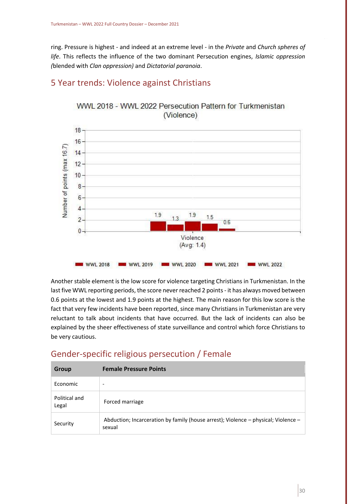ring. Pressure is highest - and indeed at an extreme level - in the *Private* and *Church spheres of life*. This reflects the influence of the two dominant Persecution engines, *Islamic oppression (*blended with *Clan oppression)* and *Dictatorial paranoia*.



## 5 Year trends: Violence against Christians

WWL 2018 - WWL 2022 Persecution Pattern for Turkmenistan (Violence)

Another stable element is the low score for violence targeting Christians in Turkmenistan. In the last five WWL reporting periods, the score never reached 2 points - it has always moved between 0.6 points at the lowest and 1.9 points at the highest. The main reason for this low score is the fact that very few incidents have been reported, since many Christians in Turkmenistan are very reluctant to talk about incidents that have occurred. But the lack of incidents can also be explained by the sheer effectiveness of state surveillance and control which force Christians to be very cautious.

## <span id="page-30-0"></span>Gender-specific religious persecution / Female

| Group                  | <b>Female Pressure Points</b>                                                                |
|------------------------|----------------------------------------------------------------------------------------------|
| Economic               | $\overline{\phantom{a}}$                                                                     |
| Political and<br>Legal | Forced marriage                                                                              |
| Security               | Abduction; Incarceration by family (house arrest); Violence – physical; Violence –<br>sexual |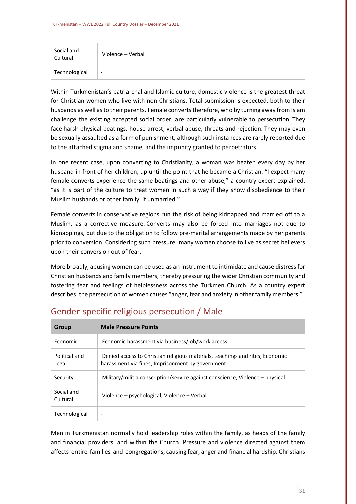| Social and<br>Cultural | Violence - Verbal        |
|------------------------|--------------------------|
| Technological          | $\overline{\phantom{a}}$ |

Within Turkmenistan's patriarchal and Islamic culture, domestic violence is the greatest threat for Christian women who live with non-Christians. Total submission is expected, both to their husbands as well as to their parents. Female converts therefore, who by turning away from Islam challenge the existing accepted social order, are particularly vulnerable to persecution. They face harsh physical beatings, house arrest, verbal abuse, threats and rejection. They may even be sexually assaulted as a form of punishment, although such instances are rarely reported due to the attached stigma and shame, and the impunity granted to perpetrators.

In one recent case, upon converting to Christianity, a woman was beaten every day by her husband in front of her children, up until the point that he became a Christian. "I expect many female converts experience the same beatings and other abuse," a country expert explained, "as it is part of the culture to treat women in such a way if they show disobedience to their Muslim husbands or other family, if unmarried."

Female converts in conservative regions run the risk of being kidnapped and married off to a Muslim, as a corrective measure. Converts may also be forced into marriages not due to kidnappings, but due to the obligation to follow pre-marital arrangements made by her parents prior to conversion. Considering such pressure, many women choose to live as secret believers upon their conversion out of fear. 

More broadly, abusing women can be used as an instrument to intimidate and cause distress for Christian husbands and family members, thereby pressuring the wider Christian community and fostering fear and feelings of helplessness across the Turkmen Church. As a country expert describes, the persecution of women causes "anger, fear and anxiety in other family members."

| <b>Group</b>           | <b>Male Pressure Points</b>                                                                                                       |
|------------------------|-----------------------------------------------------------------------------------------------------------------------------------|
| Economic               | Economic harassment via business/job/work access                                                                                  |
| Political and<br>Legal | Denied access to Christian religious materials, teachings and rites; Economic<br>harassment via fines; Imprisonment by government |
| Security               | Military/militia conscription/service against conscience; Violence – physical                                                     |
| Social and<br>Cultural | Violence - psychological; Violence - Verbal                                                                                       |
| Technological          | ۰                                                                                                                                 |

# <span id="page-31-0"></span>Gender-specific religious persecution / Male

Men in Turkmenistan normally hold leadership roles within the family, as heads of the family and financial providers, and within the Church. Pressure and violence directed against them affects entire families and congregations, causing fear, anger and financial hardship. Christians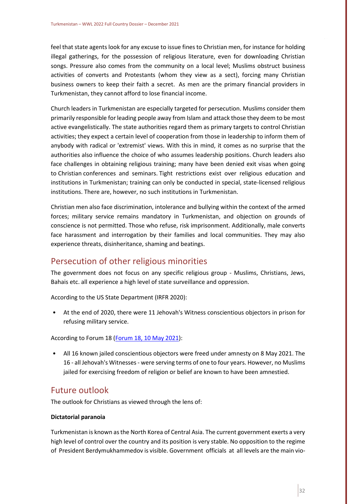feel that state agents look for any excuse to issue fines to Christian men, for instance for holding illegal gatherings, for the possession of religious literature, even for downloading Christian songs. Pressure also comes from the community on a local level; Muslims obstruct business activities of converts and Protestants (whom they view as a sect), forcing many Christian business owners to keep their faith a secret.  As men are the primary financial providers in Turkmenistan, they cannot afford to lose financial income.

Church leaders in Turkmenistan are especially targeted for persecution. Muslims consider them primarily responsible for leading people away from Islam and attack those they deem to be most active evangelistically. The state authorities regard them as primary targets to control Christian activities; they expect a certain level of cooperation from those in leadership to inform them of anybody with radical or 'extremist' views. With this in mind, it comes as no surprise that the authorities also influence the choice of who assumes leadership positions. Church leaders also face challenges in obtaining religious training; many have been denied exit visas when going to Christian conferences and seminars. Tight restrictions exist over religious education and institutions in Turkmenistan; training can only be conducted in special, state-licensed religious institutions. There are, however, no such institutions in Turkmenistan.  

Christian men also face discrimination, intolerance and bullying within the context of the armed forces; military service remains mandatory in Turkmenistan, and objection on grounds of conscience is not permitted. Those who refuse, risk imprisonment. Additionally, male converts face harassment and interrogation by their families and local communities. They may also experience threats, disinheritance, shaming and beatings. 

## <span id="page-32-0"></span>Persecution of other religious minorities

The government does not focus on any specific religious group - Muslims, Christians, Jews, Bahais etc. all experience a high level of state surveillance and oppression.

According to the US State Department (IRFR 2020):

• At the end of 2020, there were 11 Jehovah's Witness conscientious objectors in prison for refusing military service.

According to Forum 18 [\(Forum 18, 10 May 2021\)](https://www.forum18.org/archive.php?article_id=2656):

• All 16 known jailed conscientious objectors were freed under amnesty on 8 May 2021. The 16 - all Jehovah's Witnesses - were serving terms of one to four years. However, no Muslims jailed for exercising freedom of religion or belief are known to have been amnestied.

## <span id="page-32-1"></span>Future outlook

The outlook for Christians as viewed through the lens of:

#### **Dictatorial paranoia**

Turkmenistan is known as the North Korea of Central Asia. The current government exerts a very high level of control over the country and its position is very stable. No opposition to the regime of President Berdymukhammedov is visible. Government officials at all levels are the main vio